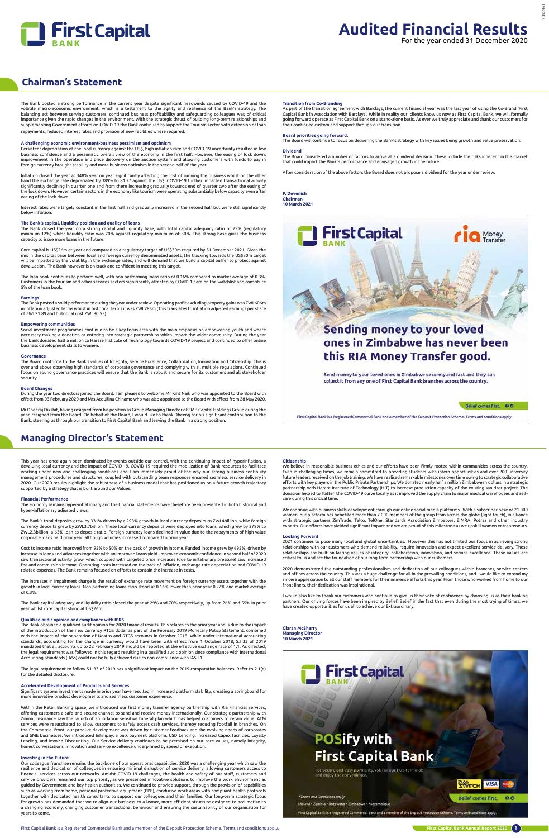

**WITCH** 

**Belief comes first** 

**VISA** 

### **Chairman's Statement**

### **Managing Director's Statement**

The Bank posted a strong performance in the current year despite significant headwinds caused by COVID-19 and the<br>volatile macro-economic environment, which is a testament to the agility and resilience of the Bank's strate balancing act between serving customers, continued business profitablility and safeguarding colleagues was of critical<br>importance given the rapid changes in the environment. With the strategic thrust of building long-term supplementing Government efforts on COVID-19 the Bank continued to support the Tourism sector with extension of loan repayments, reduced interest rates and provision of new facilities where required.

#### **A challenging economic environment-business pessimism and optimism**

The Bank closed the year on a strong capital and liquidity base, with total capital adequacy ratio of 29% (regulatory<br>minimum 12%) whilst liquidity ratio was 70% against regulatory minimum of 30%. This strong base gives th capacity to issue more loans in the future.

Persistent depreciation of the local currency against the US\$, high inflation rate and COVID-19 uncertainty resulted in low business confidence and a pessimistic overall view of the economy in the first half. However, the easing of lock down, improvement in the operation and price discovery on the auction system and allowing customers with funds to pay in foreign currency brought stability and more business optimism in the second half of the year.

Inflation closed the year at 348% year on year significantly affecting the cost of running the business whilst on the other hand the exchange rate depreciated by 389% to 81.77 against the US\$. COVID-19 further impacted transactional activity<br>significantly declining in quarter one and from there increasing gradually towards end of quarter two af the lock down. However, certain sectors in the economy like tourism were operating substantially below capacity even after easing of the lock down.

Interest rates were largely constant in the first half and gradually increased in the second half but were still significantly below inflation.

#### **The Bank's capital, liquidity position and quality of loans**

Core capital is US\$26m at year end compared to a regulatory target of US\$30m required by 31 December 2021. Given the mix in the capital base between local and foreign currency denominated assets, the tracking towards the US\$30m target will be impacted by the volatility in the exchange rates, and will demand that we build a capital buffer to protect against devaluation. The Bank however is on track and confident in meeting this target.

This year has once again been dominated by events outside our control, with the continuing impact of hyperinflation, a devaluing local currency and the impact of COVID-19. COVID-19 required the mobilization of Bank resources to facilitate working under new and challenging conditions and I am immensely proud of the way our strong business continuity management procedures and structures, coupled with outstanding team responses ensured seamless service delivery in 2020. Our 2020 results highlight the robustness of a business model that has positioned us on a future growth trajectory supported by a strategy that is built around our Values.

The loan book continues to perform well, with non-performing loans ratio of 0.16% compared to market average of 0.3%. Customers in the tourism and other services sectors significantly affected by COVID-19 are on the watchlist and constitute 5% of the loan book.

#### **Earnings**

The Bank posted a solid performance during the year under review. Operating profit excluding property gains was ZWL606m in inflation adjusted terms whilst in historical terms it was ZWL785m (This translates to inflation adjusted earnings per share of ZWL21.89 and historical cost ZWL80.55).

#### **Empowering communities**

Social investment programmes continue to be a key focus area with the main emphasis on empowering youth and where necessary making a donation or entering into strategic partnerships which impact the wider community. During the year<br>the bank donated half a million to Harare Institute of Technology towards COVID-19 project and continued business development skills to women.

#### **Governance**

The Board conforms to the Bank's values of Integrity, Service Excellence, Collaboration, Innovation and Citizenship. This is over and above observing high standards of corporate governance and complying with all multiple regulations. Continued focus on sound governance practices will ensure that the Bank is robust and secure for its customers and all stakeholder security.

#### **Board Changes**

During the year two directors joined the Board. I am pleased to welcome Mr Kirit Naik who was appointed to the Board with effect from 03 February 2020 and Mrs Acquilina Chinamo who was also appointed to the Board with effect from 28 May 2020.

Mr Dheeraj Dikshit, having resigned from his position as Group Managing Director of FMB Capital Holdings Group during the<br>year, resigned from the Board. On behalf of the Board, I would like to thank Dheeraj for his signifi

#### **Financial Performance**

The economy remains hyper-inflationary and the financial statements have therefore been presented in both historical and hyper-inflationary adjusted views.

The Bank's total deposits grew by 331% driven by a 298% growth in local currency deposits to ZWL4billion, while foreign currency deposits grew by ZWL3.7billion. These local currency deposits were deployed into loans, which grew by 279% to ZWL2.3billion, a 63% loan to deposit ratio. Foreign currency loans declined in value due to the repayments of high value corporate loans held prior year, although volumes increased compared to prior year.

> 2020 demonstrated the outstanding professionalism and dedication of our colleagues within branches, service centers<br>and offices across the country. This was a huge challenge for all in the prevailing conditions, and I woul sincere appreciation to all our staff members for their immense efforts this year. From those who worked from home to our front liners, their dedication was inspirational.

Cost to income ratio improved from 95% to 50% on the back of growth in income. Funded income grew by 695%, driven by increase in loans and advances together with an improved loans yield. Improved economic confidence in second half of 2020 saw transactional activity grow, which coupled with targeted price increases (due to inflationary pressure) saw increased fee and commission income. Operating costs increased on the back of inflation, exchange rate depreciation and COVID-19 related expenses. The Bank remains focused on efforts to contain the increase in costs.

> I would also like to thank our customers who continue to give us their vote of confidence by choosing us as their banking<br>partners. Our driving forces have been inspired by Belief. Belief in the fact that even during the m have created opportunities for us all to achieve our Extraordinary.

The increases in impairment charge is the result of exchange rate movement on foreign currency assets together with the growth in local currency loans. Non-performing loans ratio stood at 0.16% lower than prior year 0.22% and market average of 0.3%.

The Bank capital adequacy and liquidity ratio closed the year at 29% and 70% respectively, up from 26% and 55% in prior year whilst core capital stood at US\$26m.

#### **Qualified audit opinion and compliance with IFRS**

The Bank obtained a qualified audit opinion for 2020 financial results. This relates to the prior year and is due to the impact of the introduction of the new currency RTGS dollar as part of the February 2019 Monetary Policy Statement, combined<br>with the impact of the separation of Nostro and RTGS accounts in October 2018. While under international mandated that all accounts up to 22 February 2019 should be reported at the effective exchange rate of 1:1. As directed, the legal requirement was followed in this regard resulting in a qualified audit opinion since compliance with International Accounting Standards (IASs) could not be fully achieved due to non-compliance with IAS 21.

The legal requirement to follow S.I. 33 of 2019 has a significant impact on the 2019 comparative balances. Refer to 2.1(e) for the detailed disclosure.

#### **Accelerated Development of Products and Services**

Significant system investments made in prior year have resulted in increased platform stability, creating a springboard for more innovative product developments and seamless customer experience.

Within the Retail Banking space, we introduced our first money transfer agency partnership with Ria Financial Services, offering customers a safe and secure channel to send and receive money internationally. Our strategic partnership with<br>Zimnat Insurance saw the launch of an inflation sensitive funeral plan which has helped customers to re services were resuscitated to allow customers to safely access cash services, thereby reducing footfall in branches. On the Commercial front, our product development was driven by customer feedback and the evolving needs of corporates and SME businesses. We introduced Infinipay, a bulk payment platform, USD Lending, increased Capex facilities, Loyalty Lending, and Invoice Discounting. Our Service delivery continues to be premised on our core values, namely integrity, honest conversations ,innovation and service excellence underpinned by speed of execution.

#### **Investing in the Future**

Our colleague franchise remains the backbone of our operational capabilities. 2020 was a challenging year which saw the resilience and dedication of colleagues in ensuring minimal disruption of service delivery, allowing customers access to financial services across our networks. Amidst COVID-19 challenges, the health and safety of our staff, customers and service providers remained our top priority, as we presented innovative solutions to improve the work environment as guided by Government and key health authorities. We continued to provide support, through the provision of capabilities such as working from home, personal protective equipment (PPE), conducive work areas with compliant health protocols together with dedicated health consultants to support our colleagues and their families. Our long-term strategic focus .<br>For growth has demanded that we re-align our business to a leaner, more efficient structure designed to acclimatize to a changing economy, changing customer transactional behaviour and ensuring the sustainability of our organisation for years to come.

# **First Capital**

# **POSify with First Capital Bank**

For secure and easy payments, ask for our POS terminals<br>and enjoy the convenience.

#### \*Terms and Conditions apply

Malawi - Zambia - Botswana - Zimbabwe - Mozambique

First Capital Bank is a Registered Commercial Bank and a member of the Deposit Protection Scheme. Terms and conditions apply

#### **Citizenship**

We believe in responsible business ethics and our efforts have been firmly rooted within communities across the country. Even in challenging times, we remain committed to providing students with intern opportunities and over 200 university<br>future leaders received on the job training. We have realised remarkable milestones over time owing to efforts with key players in the Public Private Partnerships. We donated nearly half a million Zimbabwean dollars in a strategic<br>partnership with Harare Institute of Technology (HIT) to increase production capacity of the e donation helped to flatten the COVID-19 curve locally as it improved the supply chain to major medical warehouses and selfcare during this critical time.

We continue with business skills development through our online social media platforms. With a subscriber base of 21 000 women, our platform has benefited more than 7 000 members of the group from across the globe (light touch), in alliance with strategic partners ZimTrade, Telco, TelOne, Standards Association Zimbabwe, ZIMRA, Potraz and other industry experts. Our efforts have yielded significant impact and we are proud of this milestone as we upskill women entrepreneurs.

#### **Looking Forward**

2021 continues to pose many local and global uncertainties. However this has not limited our focus in achieving strong relationships with our customers who demand reliability, require innovation and expect excellent service delivery. These<br>relationships are built on lasting values of integrity, collaboration, innovation, and service excell critical to us and are the foundation of our long-term partnership with our customers.

**Ciaran McSharry Managing Director 10 March 2021**



#### **Transition from Co-Branding**

As part of the transition agreement with Barclays, the current financial year was the last year of using the Co-Brand 'First Capital Bank in Association with Barclays'. While in reality our clients know us now as First Capital Bank, we will formally<br>going forward operate as First Capital Bank on a stand-alone basis. As ever we truly appreciate their continued custom and support through our transition.

#### **Board priorities going forward.**

The Board will continue to focus on delivering the Bank's strategy with key issues being growth and value preservation.

#### **Dividend**

The Board considered a number of factors to arrive at a dividend decision. These include the risks inherent in the market<br>that could impact the Bank`s performance and envisaged growth in the future.

After consideration of the above factors the Board does not propose a dividend for the year under review.

**P. Devenish Chairman 10 March 2021**



# this RIA Money Transfer good.

Send money to your loved ones in Zimbabwe securely and fast and they can collect it from any one of First Capital Bank branches across the country.

#### Belief comes first. 00

First Capital Bank is a Registered Commercial Bank and a member of the Deposit Protection Scheme. Terms and conditions apply.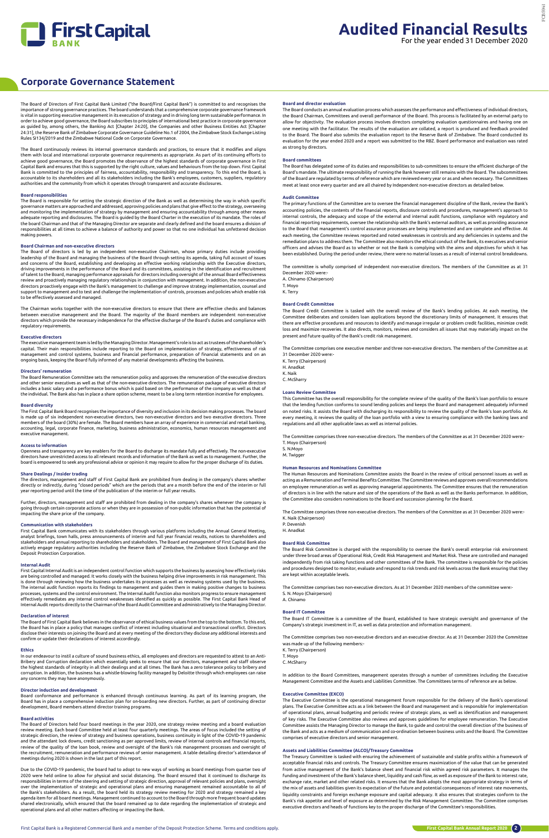

The Board of Directors of First Capital Bank Limited ("the Board/First Capital Bank") is committed to and recognises the importance of strong governance practices. The board understands that a comprehensive corporate governance framework is vital in supporting executive management in its execution of strategy and in driving long term sustainable performance. In order to achieve good governance, the Board subscribes to principles of international best practice in corporate governance as guided by, among others, the Banking Act [Chapter 24:20], the Companies and other Business Entities Act [Chapter 24:31], the Reserve Bank of Zimbabwe Corporate Governance Guideline No.1 of 2004, the Zimbabwe Stock Exchange Listing Rules SI134/2019 and the Zimbabwe National Code on Corporate Governance.

The Board continuously reviews its internal governance standards and practices, to ensure that it modifies and aligns them with local and international corporate governance requirements as appropriate. As part of its continuing efforts to achieve good governance, the Board promotes the observance of the highest standards of corporate governance in First Capital Bank and ensures that this is supported by the right culture, values and behaviours from the top down. First Capital Bank is committed to the principles of fairness, accountability, responsibility and transparency. To this end the Board, is<br>accountable to its shareholders and all its stakeholders including the Bank's employees, customers authorities and the community from which it operates through transparent and accurate disclosures.

#### **Board responsibilities**

The Board is responsible for setting the strategic direction of the Bank as well as determining the way in which specific governance matters are approached and addressed, approving policies and plans that give effect to the strategy, overseeing and monitoring the implementation of strategy by management and ensuring accountability through among other means<br>adequate reporting and disclosures. The Board is guided by the Board Charter in the execution of its mandate the board Chairman and that of the Managing Director are separate and clearly defined and the board ensures a division of responsibilities at all times to achieve a balance of authority and power so that no one individual has unfettered decision making powers.

#### **Board Chairman and non-executive directors**

Openness and transparency are key enablers for the Board to discharge its mandate fully and effectively. The non-executive<br>directors have unrestricted access to all relevant records and information of the Bank as well as t board is empowered to seek any professional advice or opinion it may require to allow for the proper discharge of its duties.

The Board of directors is led by an independent non-executive Chairman, whose primary duties include providing leadership of the Board and managing the business of the Board through setting its agenda, taking full account of issues and concerns of the Board, establishing and developing an effective working relationship with the Executive directors,<br>driving improvements in the performance of the Board and its committees, assisting in the identificatio of talent to the Board, managing performance appraisals for directors including oversight of the annual Board effectiveness review and proactively managing regulatory relationships in conjunction with management. In addition, the non-executive<br>directors proactively engage with the Bank's management to challenge and improve strategy implementati support to management and to test and challenge the implementation of controls, processes and policies which enable risk to be effectively assessed and managed.

The Chairman works together with the non-executive directors to ensure that there are effective checks and balances between executive management and the Board. The majority of the Board members are independent non-executive directors which provide the necessary independence for the effective discharge of the Board's duties and compliance with regulatory requirements.

#### **Executive directors**

In our endeavour to instil a culture of sound business ethics, all employees and directors are requested to attest to an Anti-Bribery and Corruption declaration which essentially seeks to ensure that our directors, management and staff observe<br>the highest standards of integrity in all their dealings and at all times. The Bank has a zero tolerance

The executive management team is led by the Managing Director. Management's role is to act as trustees of the shareholder's capital. Their main responsibilities include reporting to the Board on implementation of strategy, effectiveness of risk management and control systems, business and financial performance, preparation of financial statements and on an ongoing basis, keeping the Board fully informed of any material developments affecting the business.

#### **Directors' remuneration**

The Board Remuneration Committee sets the remuneration policy and approves the remuneration of the executive directors and other senior executives as well as that of the non-executive directors. The remuneration package of executive directors includes a basic salary and a performance bonus which is paid based on the performance of the company as well as that of the individual. The Bank also has in place a share option scheme, meant to be a long term retention incentive for employees.

#### **Board diversity**

The First Capital Bank Board recognises the importance of diversity and inclusion in its decision making processes. The board is made up of six independent non-executive directors, two non-executive directors and two executive directors. Three members of the board (30%) are female. The Board members have an array of experience in commercial and retail banking, accounting, legal, corporate finance, marketing, business administration, economics, human resources management and executive management.

#### **Access to information**

#### **Share Dealings / Insider trading**

The directors, management and staff of First Capital Bank are prohibited from dealing in the company's shares whether directly or indirectly, during "closed periods" which are the periods that are a month before the end of the interim or full year reporting period until the time of the publication of the interim or full year results.

Further, directors, management and staff are prohibited from dealing in the company's shares whenever the company is going through certain corporate actions or when they are in possession of non-public information that has the potential of impacting the share price of the company.

#### **Communication with stakeholders**

First Capital Bank communicates with its stakeholders through various platforms including the Annual General Meeting, analyst briefings, town halls, press announcements of interim and full year financial results, notices to shareholders and stakeholders and annual reporting to shareholders and stakeholders. The Board and management of First Capital Bank also actively engage regulatory authorities including the Reserve Bank of Zimbabwe, the Zimbabwe Stock Exchange and the Deposit Protection Corporation.

#### **Internal Audit**

First Capital Internal Audit is an independent control function which supports the business by assessing how effectively risks are being controlled and managed. It works closely with the business helping drive improvements in risk management. This is done through reviewing how the business undertakes its processes as well as reviewing systems used by the business.<br>The internal audit function reports its findings to management and guides them in making positive chang processes, systems and the control environment. The Internal Audit function also monitors progress to ensure management<br>effectively remediates any internal control weaknesses identified as quickly as possible. The First Ca Internal Audit reports directly to the Chairman of the Board Audit Committee and administratively to the Managing Director.

#### **Declaration of interest**

The Board of First Capital Bank believes in the observance of ethical business values from the top to the bottom. To this end, the Board has in place a policy that manages conflict of interest including situational and transactional conflict. Directors disclose their interests on joining the Board and at every meeting of the directors they disclose any additional interests and confirm or update their declarations of interest accordingly.

#### **Ethics**

corruption. In addition, the business has a whistle-blowing facility managed by Deloitte through which employees can raise any concerns they may have anonymously.

#### **Director induction and development**

Board conformance and performance is enhanced through continuous learning. As part of its learning program, the Board has in place a comprehensive induction plan for on-boarding new directors. Further, as part of continuing director development, Board members attend director training programs.

#### **Board activities**

The Board of Directors held four board meetings in the year 2020, one strategy review meeting and a board evaluation review meeting. Each board Committee held at least four quarterly meetings. The areas of focus included the setting of strategic direction, the review of strategy and business operations, business continuity in light of the COVID-19 pandemic and the attendant lock downs, credit sanctioning as per approved limits, review of internal controls and financial reports, review of the quality of the loan book, review and oversight of the Bank's risk management processes and oversight of the recruitment, remuneration and performance reviews of senior management. A table detailing director's attendance of meetings during 2020 is shown in the last part of this report.

Due to the COVID-19 pandemic, the board had to adopt to new ways of working as board meetings from quarter two of 2020 were held online to allow for physical and social distancing. The Board ensured that it continued to discharge its responsibilities in terms of the steering and setting of strategic direction, approval of relevant policies and plans, oversight over the implementation of strategic and operational plans and ensuring management remained accountable to all of the Bank's stakeholders. As a result, the board held its strategy review meeting for 2020 and strategy remained a key agenda item for all board meetings. Management continued to account to the Board through more frequent board updates shared electronically, which ensured that the board remained up to date regarding the implementation of strategic and operational plans and all other matters affecting or impacting the Bank.

### **Corporate Governance Statement**

#### **Board and director evaluation**

The Board conducts an annual evaluation process which assesses the performance and effectiveness of individual directors, the Board Chairman, Committees and overall performance of the Board. This process is facilitated by an external party to allow for objectivity. The evaluation process involves directors completing evaluation questionnaires and having one on one meeting with the facilitator. The results of the evaluation are collated, a report is produced and feedback provided to the Board. The Board also submits the evaluation report to the Reserve Bank of Zimbabwe. The Board conducted its evaluation for the year ended 2020 and a report was submitted to the RBZ. Board performance and evaluation was rated as strong by directors.

#### **Board committees**

The Board has delegated some of its duties and responsibilities to sub-committees to ensure the efficient discharge of the Board's mandate. The ultimate responsibility of running the Bank however still remains with the Board. The subcommittees of the Board are regulated by terms of reference which are reviewed every year or as and when necessary. The Committees meet at least once every quarter and are all chaired by Independent non-executive directors as detailed below.

#### **Audit Committee**

The primary functions of the Committee are to oversee the financial management discipline of the Bank, review the Bank's accounting policies, the contents of the financial reports, disclosure controls and procedures, management's approach to internal controls, the adequacy and scope of the external and internal audit functions, compliance with regulatory and financial reporting requirements, oversee the relationship with the Bank's external auditors, as well as providing assurance to the Board that management's control assurance processes are being implemented and are complete and effective. At each meeting, the Committee reviews reported and noted weaknesses in controls and any deficiencies in systems and the remediation plans to address them. The Committee also monitors the ethical conduct of the Bank, its executives and senior officers and advises the Board as to whether or not the Bank is complying with the aims and objectives for which it has been established. During the period under review, there were no material losses as a result of internal control breakdowns.

The committee is wholly comprised of independent non-executive directors. The members of the Committee as at 31 December 2020 were:- A. Chinamo (Chairperson)

T. Moyo K. Terry

#### **Board Credit Committee**

The Board Credit Committee is tasked with the overall review of the Bank's lending policies. At each meeting, the Committee deliberates and considers loan applications beyond the discretionary limits of management. It ensures that there are effective procedures and resources to identify and manage irregular or problem credit facilities, minimize credit loss and maximize recoveries. It also directs, monitors, reviews and considers all issues that may materially impact on the present and future quality of the Bank's credit risk management.

The Committee comprises one executive member and three non-executive directors. The members of the Committee as at 31 December 2020 were:-

- K. Terry (Chairperson) H. Anadkat
- K. Naik
- C. McSharry

#### **Loans Review Committee**

This Committee has the overall responsibility for the complete review of the quality of the Bank's loan portfolio to ensure that the lending function conforms to sound lending policies and keeps the Board and management adequately informed on noted risks. It assists the Board with discharging its responsibility to review the quality of the Bank's loan portfolio. At every meeting, it reviews the quality of the loan portfolio with a view to ensuring compliance with the banking laws and regulations and all other applicable laws as well as internal policies.

The Committee comprises three non-executive directors. The members of the Committee as at 31 December 2020 were:- T. Moyo (Chairperson)

S. N.Moyo M. Twigger

#### **Human Resources and Nominations Committee**

The Human Resources and Nominations Committee assists the Board in the review of critical personnel issues as well as acting as a Remuneration and Terminal Benefits Committee. The Committee reviews and approves overall recommendations on employee remuneration as well as approving managerial appointments. The Committee ensures that the remuneration of directors is in line with the nature and size of the operations of the Bank as well as the Banks performance. In addition, the Committee also considers nominations to the Board and succession planning for the Board.

The Committee comprises three non-executive directors. The members of the Committee as at 31 December 2020 were:- K. Naik (Chairperson)

P. Devenish

### H. Anadkat

**Board Risk Committee**

The Board Risk Committee is charged with the responsibility to oversee the Bank's overall enterprise risk environment under three broad areas of Operational Risk, Credit Risk Management and Market Risk. These are controlled and managed independently from risk taking functions and other committees of the Bank. The committee is responsible for the policies and procedures designed to monitor, evaluate and respond to risk trends and risk levels across the Bank ensuring that they are kept within acceptable levels.

The Committee comprises two non-executive directors. As at 31 December 2020 members of the committee were:- S. N. Moyo (Chairperson)

A. Chinamo

#### **Board IT Committee**

The Board IT Committee is a committee of the Board, established to have strategic oversight and governance of the Company's strategic investment in IT, as well as data protection and information management.

The Committee comprises two non-executive directors and an executive director. As at 31 December 2020 the Committee was made up of the following members:- K. Terry (Chairperson)

T. Moyo

C. McSharry

In addition to the Board Committees, management operates through a number of committees including the Executive Management Committee and the Assets and Liabilities Committee. The Committees terms of reference are as below.

#### **Executive Committee (EXCO)**

The Executive Committee is the operational management forum responsible for the delivery of the Bank's operational plans. The Executive Committee acts as a link between the Board and management and is responsible for implementation of operational plans, annual budgeting and periodic review of strategic plans, as well as identification and management of key risks. The Executive Committee also reviews and approves guidelines for employee remuneration. The Executive Committee assists the Managing Director to manage the Bank, to guide and control the overall direction of the business of the Bank and acts as a medium of communication and co-ordination between business units and the Board. The Committee comprises of executive directors and senior management.

#### **Assets and Liabilities Committee (ALCO)/Treasury Committee**

The Treasury Committee is tasked with ensuring the achievement of sustainable and stable profits within a framework of acceptable financial risks and controls. The Treasury Committee ensures maximization of the value that can be generated from active management of the Bank's balance sheet and financial risk within agreed risk parameters. It manages the funding and investment of the Bank's balance sheet, liquidity and cash flow, as well as exposure of the Bank to interest rate, exchange rate, market and other related risks. It ensures that the Bank adopts the most appropriate strategy in terms of the mix of assets and liabilities given its expectation of the future and potential consequences of interest rate movements, liquidity constraints and foreign exchange exposure and capital adequacy. It also ensures that strategies conform to the Bank's risk appetite and level of exposure as determined by the Risk Management Committee. The Committee comprises executive directors and heads of functions key to the proper discharge of the Committee's responsibilities.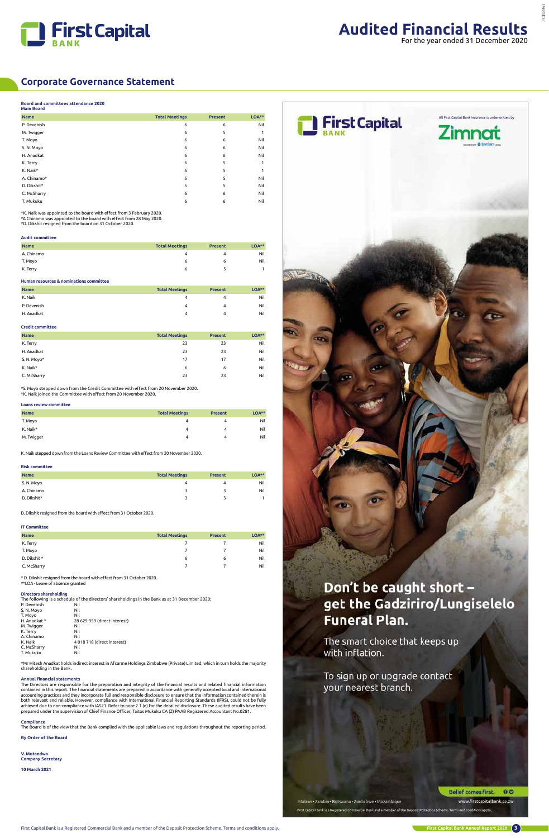



Belief comes first. 00 www.firstcapitalbank.co.zw

#### **Board and committees attendance 2020**

| <b>Main Board</b> |                       |                |       |
|-------------------|-----------------------|----------------|-------|
| <b>Name</b>       | <b>Total Meetings</b> | <b>Present</b> | LOA** |
| P. Devenish       | 6                     | 6              | Nil   |
| M. Twigger        | 6                     | 5              |       |
| T. Moyo           | 6                     | 6              | Nil   |
| S.N. Moyo         | 6                     | 6              | Nil   |
| H. Anadkat        | 6                     | 6              | Nil   |
| K. Terry          | 6                     | 5              |       |
| K. Naik*          | 6                     | 5              |       |
| A. Chinamo*       | 5                     | 5              | Nil   |
| D. Dikshit*       | 5                     | 5              | Nil   |
| C. McSharry       | 6                     | 6              | Nil   |
| T. Mukuku         | 6                     | 6              | Nil   |
|                   |                       |                |       |

\*K. Naik was appointed to the board with effect from 3 February 2020. \*A Chinamo was appointed to the board with effect from 28 May 2020.

\*D. Dikshit resigned from the board on 31 October 2020.

#### **Audit committee**

| <b>Name</b> | <b>Total Meetings</b> | <b>Present</b> | $LOA**$ |
|-------------|-----------------------|----------------|---------|
| A. Chinamo  | Δ                     |                | Nil     |
| T. Moyo     | 6                     | ס              | Nil     |
| K. Terry    | 6                     |                |         |

#### **Human resources & nominations committee**

| <b>Name</b> | <b>Total Meetings</b> | <b>Present</b> | $LOA***$ |
|-------------|-----------------------|----------------|----------|
| K. Naik     | 4                     |                | Nil      |
| P. Devenish | 4                     |                | Nil      |
| H. Anadkat  | 4                     | 4              | Nil      |

#### **Credit committee**

| <b>Name</b> | <b>Total Meetings</b> | <b>Present</b> | LOA** |
|-------------|-----------------------|----------------|-------|
| K. Terry    | 23                    | 23             | Nil   |
| H. Anadkat  | 23                    | 23             | Nil   |
| S.N. Moyo*  | 17                    | 17             | Nil   |
| K. Naik*    | 6                     | 6              | Nil   |
| C. McSharry | 23                    | 23             | Nil   |

Mr Hitesh Anadkat holds indirect interest in Afcarme Holdings Zimbabwe (Private) Limited, which in turn holds the m shareholding in the Bank.



# get the Gadziriro/Lungiselelo **Funeral Plan.**

The smart choice that keeps up with inflation.

The Directors are responsible for the preparation and integrity of the financial results and related financial information contained in this report. The financial statements are prepared in accordance with generally accepted local and international<br>accounting practices and they incorporate full and responsible disclosure to ensure that the inf both relevant and reliable. However, compliance with International Financial Reporting Standards (IFRS), could not be fully achieved due to non-compliance with IAS21. Refer to note 2.1 (e) for the detailed disclosure. These audited results have been<br>prepared under the supervision of Chief Finance Officer, Taitos Mukuku CA (Z) PAAB Registered Ac

\*S. Moyo stepped down from the Credit Committee with effect from 20 November 2020. \*K. Naik joined the Committee with effect from 20 November 2020.

#### **Loans review committee**

| <b>Name</b> | <b>Total Meetings</b> | <b>Present</b> | LOA** |
|-------------|-----------------------|----------------|-------|
| T. Moyo     | 4                     | 4              | Nil   |
| K. Naik*    | 4                     | 4              | Nil   |
| M. Twigger  | 4                     | 4              | Nil   |

K. Naik stepped down from the Loans Review Committee with effect from 20 November 2020.

#### **Risk committee**

| <b>Name</b> | <b>Total Meetings</b> | <b>Present</b> | $LOA***$ |
|-------------|-----------------------|----------------|----------|
| S.N. Moyo   | 4                     |                | Nil      |
| A. Chinamo  |                       |                | Nil      |
| D. Dikshit* |                       |                |          |

D. Dikshit resigned from the board with effect from 31 October 2020.

#### **IT Committee**

| <b>Name</b>  | <b>Total Meetings</b> | <b>Present</b> | $LOA***$ |
|--------------|-----------------------|----------------|----------|
| K. Terry     |                       |                | Nil      |
| T. Moyo      |                       |                | Nil      |
| D. Dikshit * | 6                     | 6              | Nil      |
| C. McSharry  |                       |                | Nil      |

\* D. Dikshit resigned from the board with effect from 31 October 2020. \*\*LOA - Leave of absence granted

#### **Directors shareholding**

| Directors shareholding |                                                                                                 |
|------------------------|-------------------------------------------------------------------------------------------------|
|                        | The following is a schedule of the directors' shareholdings in the Bank as at 31 December 2020; |
| P. Devenish            | Nil                                                                                             |
| S. N. Moyo             | Nil                                                                                             |
| T. Moyo                | Nil                                                                                             |
| H. Anadkat *           | 28 629 959 (direct interest)                                                                    |
| M. Twigger             | Nil                                                                                             |
| K. Terry               | Nil                                                                                             |
| A. Chinamo             | Nil                                                                                             |
| K. Naik                | 4 018 718 (direct interest)                                                                     |
| C. McSharry            | Nil                                                                                             |
| T. Mukuku              | Nil                                                                                             |

#### **Annual financial statements**

#### **Compliance**

The Board is of the view that the Bank complied with the applicable laws and regulations throughout the reporting period.

**By Order of the Board**

**V. Mutandwa Company Secretary**

**10 March 2021**

### To sign up or upgrade contact your nearest branch.

#### Malawi - Zambia - Botswana - Zimbabwe - Mozambique

First Capital Bank is a Registered Commercial Bank and a member of the Deposit Protection Scheme. Terms and consistons apply.

### **Corporate Governance Statement**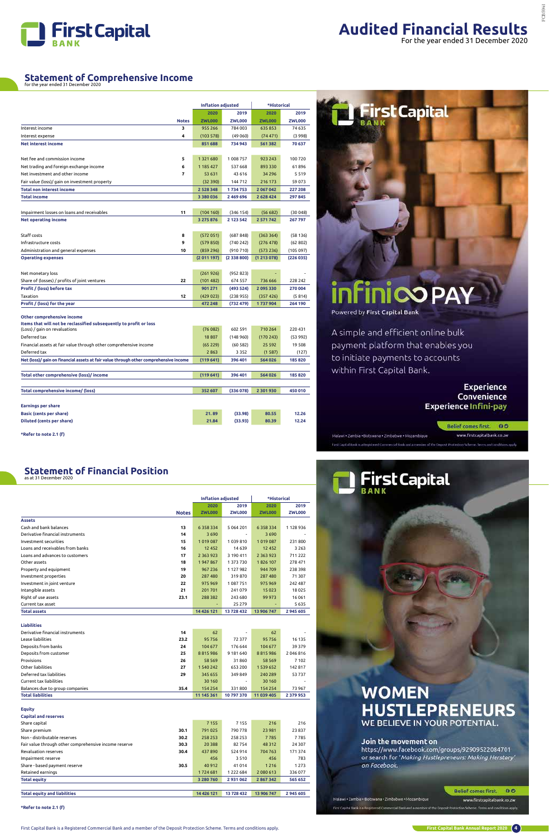

#### **Statement of Financial Position** as at 31 December 2020

### **Statement of Comprehensive Income** for the year ended 31 December 2020

|                                                                                       |              | <b>Inflation adjusted</b> |               | *Historical   |               |
|---------------------------------------------------------------------------------------|--------------|---------------------------|---------------|---------------|---------------|
|                                                                                       |              | 2020                      | 2019          | 2020          | 2019          |
|                                                                                       | <b>Notes</b> | <b>ZWL000</b>             | <b>ZWL000</b> | <b>ZWL000</b> | <b>ZWL000</b> |
| Interest income                                                                       | з            | 955 266                   | 784 003       | 635853        | 74 635        |
| Interest expense                                                                      | 4            | (103 578)                 | (49060)       | (74471)       | (3 998)       |
| <b>Net interest income</b>                                                            |              | 851 688                   | 734 943       | 561 382       | 70 637        |
|                                                                                       |              |                           |               |               |               |
| Net fee and commission income                                                         | 5            | 1321680                   | 1 008 757     | 923 243       | 100720        |
| Net trading and foreign exchange income                                               | 6            | 1 185 427                 | 537 668       | 893 330       | 61896         |
| Net investment and other income                                                       | 7            | 53 631                    | 43 616        | 34 29 6       | 5519          |
| Fair value (loss)/ gain on investment property                                        |              | (32390)                   | 144 712       | 216 173       | 59 073        |
| Total non interest income                                                             |              | 2 5 2 8 3 4 8             | 1734753       | 2 067 042     | 227 208       |
| <b>Total income</b>                                                                   |              | 3 3 8 0 0 3 6             | 2 469 696     | 2 6 2 8 4 2 4 | 297845        |
|                                                                                       |              |                           |               |               |               |
| Impairment losses on loans and receivables                                            | 11           | (104 160)                 | (346 154)     | (56682)       | (30048)       |
| <b>Net operating income</b>                                                           |              | 3 275 876                 | 2 123 542     | 2 5 7 1 7 4 2 | 267797        |
|                                                                                       |              |                           |               |               |               |
| Staff costs                                                                           | 8            | (572051)                  | (687848)      | (363364)      | (58136)       |
| Infrastructure costs                                                                  | 9            | (579 850)                 | (740242)      | (276 478)     | (62802)       |
| Administration and general expenses                                                   | 10           | (859 296)                 | (910710)      | (573 236)     | (105097)      |
| <b>Operating expenses</b>                                                             |              | (2011197)                 | (2338800)     | (1213078)     | (226035)      |
|                                                                                       |              |                           |               |               |               |
| Net monetary loss                                                                     |              | (261926)                  | (952823)      |               |               |
| Share of (losses) / profits of joint ventures                                         | 22           | (101482)                  | 674 557       | 736 666       | 228 242       |
| Profit / (loss) before tax                                                            |              | 901 271                   | (493 524)     | 2095330       | 270 004       |
| Taxation                                                                              | 12           | (429023)                  | (238955)      | (357 426)     | (5814)        |
| Profit / (loss) for the year                                                          |              | 472 248                   | (732 479)     | 1737904       | 264 190       |
| Other comprehensive income                                                            |              |                           |               |               |               |
| Items that will not be reclassified subsequently to profit or loss                    |              |                           |               |               |               |
| (Loss) / gain on revaluations                                                         |              | (76082)                   | 602 591       | 710 264       | 220 431       |
| Deferred tax                                                                          |              | 18807                     | (148960)      | (170243)      | (53992)       |
| Financial assets at fair value through other comprehensive income                     |              | (65229)                   | (60582)       | 25 5 9 2      | 19 508        |
| Deferred tax                                                                          |              | 2863                      | 3 3 5 2       | (1587)        | (127)         |
| Net (loss)/ gain on financial assets at fair value through other comprehensive income |              | (119641)                  | 396 401       | 564 026       | 185 820       |
|                                                                                       |              |                           |               |               |               |
| Total other comprehensive (loss)/ income                                              |              | (119641)                  | 396 401       | 564 026       | 185 820       |
|                                                                                       |              |                           |               |               |               |
| <b>Total comprehensive income/ (loss)</b>                                             |              | 352 607                   | (336078)      | 2 301 930     | 450 010       |
|                                                                                       |              |                           |               |               |               |
| <b>Earnings per share</b>                                                             |              |                           |               |               |               |
| <b>Basic (cents per share)</b>                                                        |              | 21.89                     | (33.98)       | 80.55         | 12.26         |
| <b>Diluted (cents per share)</b>                                                      |              | 21.84                     | (33.93)       | 80.39         | 12.24         |
|                                                                                       |              |                           |               |               |               |

**\*Refer to note 2.1 (f)**

|                                                       |              | <b>Inflation adjusted</b><br>*Historical |               |               |               |
|-------------------------------------------------------|--------------|------------------------------------------|---------------|---------------|---------------|
|                                                       |              |                                          |               |               |               |
|                                                       |              | 2020                                     | 2019          | 2020          | 2019          |
|                                                       | <b>Notes</b> | <b>ZWL000</b>                            | <b>ZWL000</b> | <b>ZWL000</b> | <b>ZWL000</b> |
| <b>Assets</b>                                         |              |                                          |               |               |               |
| Cash and bank balances                                | 13           | 6358334                                  | 5 0 6 4 2 0 1 | 6358334       | 1 128 936     |
| Derivative financial instruments                      | 14           | 3690                                     |               | 3690          |               |
| Investment securities                                 | 15           | 1019087                                  | 1039810       | 1019087       | 231800        |
| Loans and receivables from banks                      | 16           | 12 4 52                                  | 14 639        | 12 452        | 3 2 6 3       |
| Loans and advances to customers                       | 17           | 2 3 6 3 9 2 3                            | 3 190 411     | 2 3 6 3 9 2 3 | 711 222       |
| Other assets                                          | 18           | 1947867                                  | 1373730       | 1826 107      | 278 471       |
| Property and equipment                                | 19           | 967 236                                  | 1 127 982     | 944 709       | 238 398       |
| Investment properties                                 | 20           | 287 480                                  | 319870        | 287 480       | 71 307        |
| Investment in joint venture                           | 22           | 975 969                                  | 1087751       | 975 969       | 242 487       |
| Intangible assets                                     | 21           | 201 701                                  | 241079        | 15 0 23       | 18 0 25       |
| Right of use assets                                   | 23.1         | 288 382                                  | 243 680       | 99 973        | 16061         |
| Current tax asset                                     |              |                                          | 25 279        |               | 5635          |
| <b>Total assets</b>                                   |              | 14 426 121                               | 13728432      | 13 906 747    | 2 945 605     |
|                                                       |              |                                          |               |               |               |
| <b>Liabilities</b>                                    |              |                                          |               |               |               |
| Derivative financial instruments                      | 14           | 62                                       |               | 62            |               |
| Lease liabilities                                     | 23.2         | 95 756                                   | 72377         | 95756         | 16 135        |
| Deposits from banks                                   | 24           | 104 677                                  | 176 644       | 104 677       | 39 379        |
| Deposits from customer                                | 25           | 8815986                                  | 9 181 640     | 8815986       | 2046816       |
| Provisions                                            | 26           | 58 569                                   | 31860         | 58 569        | 7 1 0 2       |
| Other liabilities                                     | 27           | 1 540 242                                | 653 200       | 1 539 652     | 142817        |
| Deferred tax liabilities                              | 29           | 345 655                                  | 349849        | 240 289       | 53737         |
| Current tax liabilities                               |              | 30 160                                   |               | 30 160        |               |
| Balances due to group companies                       | 35.4         | 154 254                                  | 331800        | 154 254       | 73 967        |
| <b>Total liabilities</b>                              |              | 11 145 361                               | 10797370      | 11 039 405    | 2 3 7 9 9 5 3 |
| <b>Equity</b>                                         |              |                                          |               |               |               |
| <b>Capital and reserves</b>                           |              |                                          |               |               |               |
| Share capital                                         |              | 7 1 5 5                                  | 7 1 5 5       | 216           | 216           |
| Share premium                                         | 30.1         | 791 025                                  | 790 778       | 23 981        | 23837         |
| Non - distributable reserves                          | 30.2         | 258 253                                  | 258 253       | 7785          | 7785          |
| Fair value through other comprehensive income reserve | 30.3         | 20 3 88                                  | 82754         | 48 3 12       | 24 307        |
| Revaluation reserves                                  | 30.4         | 437890                                   | 524 914       | 704 763       | 171374        |
| Impairment reserve                                    |              | 456                                      | 3510          | 456           | 783           |
| Share - based payment reserve                         | 30.5         | 40 912                                   | 41 0 14       | 1216          | 1 2 7 3       |
| Retained earnings                                     |              | 1724 681                                 | 1 2 2 2 6 8 4 | 2 080 613     | 336077        |
| <b>Total equity</b>                                   |              | 3 280 760                                | 2931062       | 2 867 342     | 565 652       |
|                                                       |              |                                          |               |               |               |
| <b>Total equity and liabilities</b>                   |              | 14 4 26 121                              | 13728432      | 13 906 747    | 2945605       |
|                                                       |              |                                          |               |               |               |

# **infinicopay**

**First Capital** 

Powered by First Capital Bank

Malawi . Zambia . Botswana . Zimbabwe . Mozambique

A simple and efficient online bulk payment platform that enables you to initiate payments to accounts within First Capital Bank.

ercial Basic and aim

### **Experience** Convenience **Experience Infini-pay**

Belief comes first. 00 www.firstcapitalbank.co.zw



#### **\*Refer to note 2.1 (f)**

## **WOMEN HUSTLEPRENEURS** WE BELIEVE IN YOUR POTENTIAL.

#### Join the movement on

https://www.facebook.com/groups/92909522084701 or search for 'Making Hustlepreneurs: Making Herstory' on Facebook.

Malawi + Zambia + Botswana + Zimbabwe + Mozambique

#### Belief comes first. 00

www.firstcapitalbank.co.zw

First Capital Dark is a Registered Commercial Dank and a member of the De sit Protection Scheme. Terms and conditions apply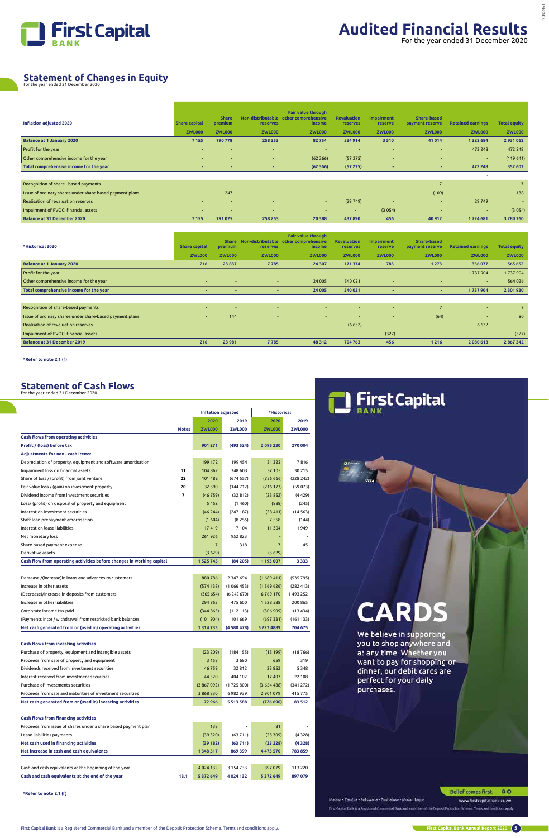First Capital Bank is a Registered Commercial Bank and a member of the Deposit Protection Scheme. Terms and conditions apply.



**First Capital Bank Annual Report 2020 5**

www.firstcapitalbank.co.zw

First Capital Bank is a Registered Commercial Bank and a member of the Dept solt Pentection Schome. Terms and conditions apply

| <b>Inflation adjusted 2020</b>                           | <b>Share capital</b>     | <b>Share</b><br>premium | reserves                 | <b>Fair value through</b><br>Non-distributable other comprehensive<br><i>income</i> | <b>Revaluation</b><br>reserves | <b>Impairment</b><br>reserve | Share-based<br>payment reserve | <b>Retained earnings</b> | <b>Total equity</b> |
|----------------------------------------------------------|--------------------------|-------------------------|--------------------------|-------------------------------------------------------------------------------------|--------------------------------|------------------------------|--------------------------------|--------------------------|---------------------|
|                                                          | <b>ZWL000</b>            | <b>ZWL000</b>           | <b>ZWL000</b>            | <b>ZWL000</b>                                                                       | <b>ZWL000</b>                  | <b>ZWL000</b>                | <b>ZWL000</b>                  | <b>ZWL000</b>            | <b>ZWL000</b>       |
| <b>Balance at 1 January 2020</b>                         | 7 1 5 5                  | 790 778                 | 258 253                  | 82754                                                                               | 524 914                        | 3510                         | 41 0 14                        | 1 2 2 2 6 8 4            | 2931062             |
| Profit for the year                                      | $\overline{\phantom{0}}$ |                         | $\sim$                   | $\overline{\phantom{a}}$                                                            | $\overline{\phantom{a}}$       |                              | н.                             | 472 248                  | 472 248             |
| Other comprehensive income for the year                  | $\sim$                   | $\sim$                  | $\sim$                   | (62366)                                                                             | (57275)                        | $\sim$                       | $\overline{\phantom{a}}$       | $\sim$                   | (119641)            |
| Total comprehensive income for the year                  |                          |                         | $\overline{\phantom{a}}$ | (62366)                                                                             | (57275)                        |                              | ۰                              | 472 248                  | 352 607             |
|                                                          |                          |                         |                          |                                                                                     |                                |                              |                                | $\sim$                   |                     |
| Recognition of share - based payments                    |                          |                         |                          |                                                                                     |                                | <b>.</b>                     |                                | <b>Section</b>           |                     |
| Issue of ordinary shares under share-based payment plans | $\sim$                   | 247                     | $\overline{a}$           | $\sim$                                                                              | ۰.                             | <b>.</b>                     | (109)                          | $\sim$                   | 138                 |
| Realisation of revaluation reserves                      | $\overline{\phantom{0}}$ |                         | $\overline{\phantom{a}}$ | $\sim$ 10 $\pm$                                                                     | (29749)                        | н.                           | $\sim$                         | 29 7 49                  | $\sim$              |
| Impairment of FVOCI financial assets                     | $\sim$                   |                         | $\sim$                   | $\sim$                                                                              | $\sim$                         | (3054)                       | $\overline{\phantom{a}}$       | $\sim$                   | (3054)              |
| <b>Balance at 31 December 2020</b>                       | 7 1 5 5                  | 791 025                 | 258 253                  | 20 388                                                                              | 437 890                        | 456                          | 40912                          | 1724 681                 | 3 280 760           |

| *Historical 2020                                         | <b>Share capital</b> | <b>Share</b><br>premium  | <b>reserves</b> | <b>Fair value through</b><br>Non-distributable other comprehensive<br>income | <b>Revaluation</b><br><b>reserves</b> | <b>Impairment</b><br>reserve | Share-based<br>payment reserve | <b>Retained earnings</b> | <b>Total equity</b> |
|----------------------------------------------------------|----------------------|--------------------------|-----------------|------------------------------------------------------------------------------|---------------------------------------|------------------------------|--------------------------------|--------------------------|---------------------|
|                                                          | <b>ZWL000</b>        | <b>ZWL000</b>            | <b>ZWL000</b>   | <b>ZWL000</b>                                                                | <b>ZWL000</b>                         | <b>ZWL000</b>                | <b>ZWL000</b>                  | <b>ZWL000</b>            | <b>ZWL000</b>       |
| <b>Balance at 1 January 2020</b>                         | 216                  | 23 837                   | 7785            | 24 30 7                                                                      | 171 374                               | 783                          | 1273                           | 336077                   | 565 652             |
| Profit for the year                                      | н.                   | $\overline{\phantom{a}}$ |                 | н.                                                                           |                                       | $\overline{\phantom{a}}$     | $\sim$                         | 1737904                  | 1737904             |
| Other comprehensive income for the year                  | $\sim$               |                          |                 | 24 005                                                                       | 540 021                               | $\sim$                       |                                | $\sim$                   | 564 026             |
| Total comprehensive income for the year                  |                      |                          | ۰               | 24 005                                                                       | 540 021                               |                              | ۰                              | 1737904                  | 2 301 930           |
|                                                          |                      |                          |                 |                                                                              |                                       |                              |                                |                          |                     |
| Recognition of share-based payments                      | $\sim$               | н.                       | н.              | <b>м.</b>                                                                    | -                                     | $\sim$                       |                                | $\sim$                   |                     |
| Issue of ordinary shares under share-based payment plans | $\sim$               | 144                      | $\sim$          | <b>умер</b>                                                                  | $\sim$                                | $\sim$                       | (64)                           | <b>COL</b>               | 80                  |
| Realisation of revaluation reserves                      | $\sim$               | $\sim$                   | $\sim$          | $\sim$                                                                       | (6632)                                | $\sim$                       | $\sim$                         | 6 6 3 2                  | $\sim$              |
| Impairment of FVOCI financial assets                     | $\sim$               | $\sim$                   |                 | $\sim$                                                                       | $\sim$                                | (327)                        | $\sim$                         | $\sim$                   | (327)               |
| <b>Balance at 31 December 2019</b>                       | 216                  | 23 981                   | 7785            | 48 312                                                                       | 704 763                               | 456                          | 1216                           | 2 080 613                | 2867342             |

**\*Refer to note 2.1 (f)**

# **Statement of Changes in Equity** for the year ended 31 December 2020

#### **Statement of Cash Flows** for the year ended 31 December 2020

|                                                                       |              | <b>Inflation adjusted</b> |               | *Historical    |               |
|-----------------------------------------------------------------------|--------------|---------------------------|---------------|----------------|---------------|
|                                                                       |              | 2020                      | 2019          | 2020           | 2019          |
|                                                                       | <b>Notes</b> | <b>ZWL000</b>             | <b>ZWL000</b> | <b>ZWL000</b>  | <b>ZWL000</b> |
| <b>Cash flows from operating activities</b>                           |              |                           |               |                |               |
| Profit / (loss) before tax                                            |              | 901 271                   | (493524)      | 2 095 330      | 270 004       |
| <b>Adjustments for non - cash items:</b>                              |              |                           |               |                |               |
| Depreciation of property, equipment and software amortisation         |              | 199 172                   | 199 454       | 31 322         | 7816          |
| Impairment loss on financial assets                                   | 11           | 104 862                   | 348 603       | 57 105         | 30 215        |
| Share of loss / (profit) from joint venture                           | 22           | 101 482                   | (674557)      | (73666)        | (228 242)     |
| Fair value loss / (gain) on investment property                       | 20           | 32 390                    | (144712)      | (216 173)      | (59073)       |
| Dividend income from investment securities                            | 7            | (46759)                   | (32812)       | (23852)        | (4429)        |
| Loss/ (profit) on disposal of property and equipment                  |              | 5452                      | (1460)        | (888)          | (245)         |
| Interest on investment securities                                     |              | (46244)                   | (247187)      | (28411)        | (14563)       |
| Staff loan prepayment amortisation                                    |              | (1604)                    | (8255)        | 7558           | (144)         |
| Interest on lease liabilities                                         |              | 17419                     | 17 104        | 11 304         | 1949          |
| Net monetary loss                                                     |              | 261926                    | 952 823       |                |               |
| Share based payment expense                                           |              | $\overline{7}$            | 318           | $\overline{7}$ | 45            |
| Derivative assets                                                     |              | (3629)                    |               | (3629)         |               |
| Cash flow from operating activities before changes in working capital |              | 1 5 2 5 7 4 5             | (84205)       | 1 193 007      | 3 3 3 3       |
| Decrease /(increase) in loans and advances to customers               |              | 880786                    | 2 3 4 7 6 9 4 | (1689411)      | (535 795)     |
| Increase in other assets                                              |              | (574138)                  | (1066453)     | (1569626)      | (282 413)     |
| (Decrease)/increase in deposits from customers                        |              | (365654)                  | (6242670)     | 6769170        | 1493252       |
| Increase in other liabilities                                         |              | 294 763                   | 475 600       | 1528588        | 200 865       |
| Corporate income tax paid                                             |              | (344865)                  | (112113)      | (306909)       | (13434)       |
| (Payments into) / withdrawal from restricted bank balances            |              | (101904)                  | 101 669       | (697331)       | (161133)      |
| Net cash generated from or (used in) operating activities             |              | 1314733                   | (4 580 478)   | 5 227 4889     | 704 675       |
|                                                                       |              |                           |               |                |               |
| <b>Cash flows from investing activities</b>                           |              |                           |               |                |               |
| Purchase of property, equipment and intangible assets                 |              | (23 209)                  | (184155)      | (15199)        | (18766)       |
| Proceeds from sale of property and equipment                          |              | 3 1 5 8                   | 3690          | 659            | 319           |



# **CARDS**

We believe in supporting you to shop anywhere and at any time. Whether you want to pay for shopping or dinner, our debit cards are perfect for your daily purchases.

| 46759         | 32812         | 23852         | 5 3 4 8   |
|---------------|---------------|---------------|-----------|
| 44 5 20       | 404 102       | 17 407        | 22 108    |
| (3867092)     | (1725800)     | (3654488)     | (341 272) |
| 3868830       | 6982939       | 2 901 079     | 415 775   |
| 72 966        | 5513588       | (726 690)     | 83 512    |
|               |               |               |           |
|               |               |               |           |
| 138           | ۰.            | 81            |           |
| (39320)       | (63711)       | (25309)       | (4328)    |
| (39 182)      | (63711)       | (25 228)      | (4328)    |
| 1 348 517     | 869 399       | 4 4 7 5 5 7 0 | 783 859   |
|               |               |               |           |
| 4 0 2 4 1 3 2 | 3 1 5 4 7 3 3 | 897079        | 113 220   |
| 5 372 649     | 4 0 24 1 32   | 5 3 7 2 6 4 9 | 897 079   |
|               |               |               |           |
|               |               |               |           |

**\*Refer to note 2.1 (f)**

Malawi - Zambia - Botswana - Zimbabwe - Mozambique

Belief comes first. 00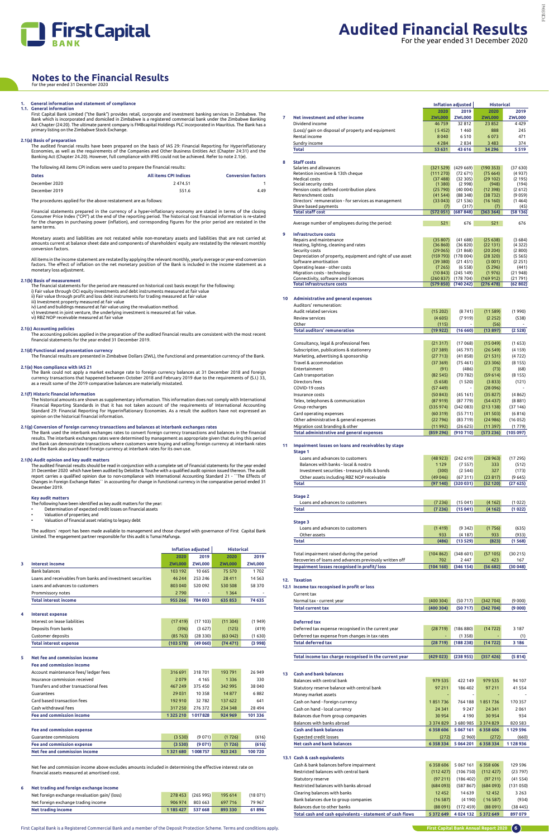

### **1. General information and statement of compliance 1.1. General information**

First Capital Bank Limited ("the Bank") provides retail, corporate and investment banking services in Zimbabwe. The Bank which is incorporated and domiciled in Zimbabwe is a registered commercial bank under the Zimbabwe Banking<br>Act Chapter (24:20). The ultimate parent company is FMBcapital Holdings PLC incorporated in Mauritius. The Ban primary listing on the Zimbabwe Stock Exchange.

#### **2.1(a) Basis of preparation**

The audited financial results have been prepared on the basis of IAS 29: Financial Reporting for Hyperinflationary Economies, as well as the requirements of the Companies and Other Business Entities Act (Chapter 24:31) and the Banking Act (Chapter 24.20). However, full compliance with IFRS could not be achieved. Refer to note 2.1(e).

Allitems in the income statement are restated by applying the relevant monthly, yearly average or year-end conversion<br>factors. The effect of inflation on the net monetary position of the Bank is included in the income stat monetary loss adjustment.

The following All items CPI indices were used to prepare the financial results:

| <b>Dates</b>  | <b>All items CPI Indices</b> | <b>Conversion factors</b> |
|---------------|------------------------------|---------------------------|
| December 2020 | 2474.51                      |                           |
| December 2019 | 551.6                        | 4.49                      |

The procedures applied for the above restatement are as follows:

Financial statements prepared in the currency of a hyper-inflationary economy are stated in terms of the closing Consumer Price Index ("CPI") at the end of the reporting period. The historical cost financial information is re-stated for the changes in purchasing power (inflation), and corresponding figures for the prior period are restated in the same terms.

Monetary assets and liabilities are not restated while non-monetary assets and liabilities that are not carried at amounts current at balance sheet date and components of shareholders' equity are restated by the relevant monthly conversion factors.

The historical amounts are shown as supplementary information. This information does not comply with International<br>Financial Reporting Standards in that it has not taken account of the requirements of International Account opinion on the historical financial information.

#### **2.1(b) Basis of measurement**

- The financial statements for the period are measured on historical cost basis except for the following:
- i) Fair value through OCI equity investments and debt instruments measured at fair value ii) Fair value through profit and loss debt instruments for trading measured at fair value
- iii) Investment property measured at fair value
- 
- iv) Land and buildings measured at fair value using the revaluation method. v) Investment in joint venture, the underlying investment is measured at fair value. vi) RBZ NOP receivable measured at fair value

#### **2.1(c) Accounting policies**

The accounting policies applied in the preparation of the audited financial results are consistent with the most recent financial statements for the year ended 31 December 2019.

#### **2.1(d) Functional and presentation currency**

The financial results are presented in Zimbabwe Dollars (ZWL), the functional and presentation currency of the Bank.

#### **2.1(e) Non compliance with IAS 21**

The Bank could not apply a market exchange rate to foreign currency balances at 31 December 2018 and foreign currency transactions that happened between October 2018 and February 2019 due to the requirements of (S.I.) 33, as a result some of the 2019 comparative balances are materially misstated.

#### **2.1(f) Historic financial information**

#### **2.1(g) Conversion of foreign currency transactions and balances at interbank exchanges rates**

The Bank used the interbank exchanges rates to convert foreign currency transactions and balances in the financial results. The interbank exchanges rates were determined by management as appropriate given that during this period<br>the Bank can demonstrate transactions where customers were buying and selling foreign currency at interbank and the Bank also purchased foreign currency at interbank rates for its own use.

#### **2.1(h) Audit opinion and key audit matters**

The audited financial results should be read in conjunction with a complete set of financial statements for the year ended 31 December 2020 which have been audited by Deloitte & Touche with a qualified audit opinion issued thereon. The audit report carries a qualified opinion due to non-compliance with International Accounting Standard 21 - ``The Effects of<br>Changes in Foreign Exchange Rates`` in accounting for change in functional currency in the comparative p December 2019.

#### **Key audit matters**

- The following have been identified as key audit matters for the year:
- Determination of expected credit losses on financial assets • Valuation of properties; and
- Valuation of financial asset relating to legacy debt

The auditors` report has been made available to management and those charged with governance of First Capital Bank Limited. The engagement partner responsible for this audit is Tumai Mafunga.

### **Notes to the Financial Results** for the year ended 31 December 2020

|                                                             | <b>Inflation adjusted</b> |               | <b>Historical</b> |               |
|-------------------------------------------------------------|---------------------------|---------------|-------------------|---------------|
|                                                             | 2020                      | 2019          | 2020              | 2019          |
| Interest income                                             | <b>ZWL000</b>             | <b>ZWL000</b> | <b>ZWL000</b>     | <b>ZWL000</b> |
| <b>Bank balances</b>                                        | 103 192                   | 10 665        | 75 570            | 1702          |
| Loans and receivables from banks and investment securities. | 46 244                    | 253 246       | 28 4 11           | 14 5 6 3      |
| Loans and advances to customers                             | 803 040                   | 520092        | 530 508           | 58 370        |
| Prommissory notes                                           | 2 7 9 0                   |               | 1 3 6 4           | -             |
| <b>Total interest income</b>                                | 955 266                   | 784 003       | 635853            | 74 635        |

#### **4 Interest expense**

| Interest on lease liabilities |          | $(17419)$ $(17103)$ | (11304) | (1949) |
|-------------------------------|----------|---------------------|---------|--------|
| Deposits from banks           | (396)    | (3627)              | (125)   | (419)  |
| Customer deposits             | (85763)  | (28330)             | (63042) | (1630) |
| <b>Total interest expense</b> | (103578) | (49060)             | (74471) | (3998) |

#### **5 Net fee and commission income**

#### **Fee and commission income**

| <b>Fee and commission income</b>       | 1325210 | 1017828  | 924 969 | 101336  |
|----------------------------------------|---------|----------|---------|---------|
| Cash withdrawal fees                   | 317 250 | 276 372  | 234 348 | 28 4 94 |
|                                        |         |          |         |         |
| Card based transaction fees            | 192 910 | 32782    | 137 622 | 641     |
| Guarantees                             | 29 0 31 | 10 3 5 8 | 14877   | 6882    |
| Transfers and other transactional fees | 467 249 | 375450   | 342 995 | 38 040  |
| Insurance commission received          | 2079    | 4 1 6 5  | 1 3 3 6 | 330     |
| Account maintenance fees/ ledger fees  | 316 691 | 318701   | 193 791 | 26949   |
|                                        |         |          |         |         |

#### **Fee and commission expense**

| Guarantee commissions             | (3530)  | (9071)  | (1726)  | (616)  |
|-----------------------------------|---------|---------|---------|--------|
| <b>Fee and commission expense</b> | (3,530) | (9071)  | (1726)  | (616)  |
| Net fee and commission income     | 1321680 | 1008757 | 923 243 | 100720 |

Net fee and commission income above excludes amounts included in determining the effective interest rate on financial assets measured at amortised cost.

#### **6 Net trading and foreign exchange income**

| Net foreign exchange revaluation gain/ (loss) | 278 453   | (265995) | 195 614 | (18071) |
|-----------------------------------------------|-----------|----------|---------|---------|
| Net foreign exchange trading income           | 906 974   | 803 663  | 697 716 | 79 967  |
| Net trading income                            | 1 185 427 | 537 668  | 893 330 | 61896   |

| 7  |                                                                                                         |                      |                           |                     |                     |
|----|---------------------------------------------------------------------------------------------------------|----------------------|---------------------------|---------------------|---------------------|
|    |                                                                                                         |                      | <b>Inflation adjusted</b> | <b>Historical</b>   |                     |
|    |                                                                                                         | 2020                 | 2019                      | 2020                | 2019                |
|    | Net investment and other income                                                                         | <b>ZWL000</b>        | <b>ZWL000</b>             | <b>ZWL000</b>       | <b>ZWL000</b>       |
|    | Dividend income                                                                                         | 46759                | 32812                     | 23852               | 4429                |
|    | (Loss)/ gain on disposal of property and equipment                                                      | (5452)               | 1460                      | 888                 | 245                 |
|    | Rental income                                                                                           | 8040                 | 6510                      | 6073                | 471                 |
|    | Sundry income                                                                                           | 4 2 8 4              | 2834                      | 3 4 8 3             | 374                 |
|    | Total                                                                                                   | 53 631               | 43 616                    | 34 29 6             | 5519                |
|    |                                                                                                         |                      |                           |                     |                     |
| 8  | <b>Staff costs</b><br>Salaries and allowances                                                           | (321 529)            | (429669)                  | (190353)            | (37630)             |
|    | Retention incentive & 13th cheque                                                                       | (111 270)            | (72671)                   | (75664)             | (4937)              |
|    | Medical costs                                                                                           | (37 488)             | (32305)                   | (29 102)            | (2195)              |
|    | Social security costs                                                                                   | (1380)               | (2998)                    | (948)               | (194)               |
|    | Pension costs: defined contribution plans<br>Retrenchment costs                                         | (25790)<br>(41544)   | (40004)<br>(88348)        | (12398)<br>(38732)  | (2612)<br>(9 0 5 9) |
|    | Directors' remuneration - for services as management                                                    | (33043)              | (21536)                   | (16 160)            | (1464)              |
|    | Share based payments                                                                                    | (7)                  | (317)                     | (7)                 | (45)                |
|    | <b>Total staff cost</b>                                                                                 | (572051)             | (687848)                  | (363364)            | (58136)             |
|    | Average number of employees during the period:                                                          | 521                  | 676                       | 521                 | 676                 |
| 9  | Infrastructure costs                                                                                    |                      |                           |                     |                     |
|    | Repairs and maintenance                                                                                 | (35807)              | (41688)                   | (25638)             | (3684)              |
|    | Heating, lighting, cleaning and rates                                                                   | (36 860)             | (36820)                   | (22 131)            | (4322)              |
|    | Security costs<br>Depreciation of property, equipment and right of use asset                            | (29065)<br>(159 793) | (31868)<br>(178004)       | (20 204)<br>(28320) | (2800)<br>(5565)    |
|    | Software amortisation                                                                                   | (39380)              | (21451)                   | (3001)              | (2251)              |
|    | Operating lease - other costs                                                                           | (7265)               | (6558)                    | (5296)              | (441)               |
|    | Migration costs - technology                                                                            | (10843)              | (245149)                  | (1976)              | (21948)             |
|    | Connectivity, software and licences                                                                     | (260 837)            | (178704)                  | (169912)            | (21791)             |
|    | <b>Total infrastructure costs</b>                                                                       | (579 850)            | (740242)                  | (276 478)           | (62 802)            |
|    |                                                                                                         |                      |                           |                     |                     |
| 10 | Administrative and general expenses<br>Auditors' remuneration:                                          |                      |                           |                     |                     |
|    | Audit related services                                                                                  | (15202)              | (8 741)                   | (11589)             | (1990)              |
|    | Review services                                                                                         | (4605)               | (7919)                    | (2 252)             | (538)               |
|    | Other                                                                                                   | (115)                |                           | (56)                |                     |
|    | <b>Total auditors' remuneration</b>                                                                     | (19 922)             | (16660)                   | (13897)             | (2528)              |
|    |                                                                                                         |                      |                           |                     |                     |
|    | Consultancy, legal & professional fees                                                                  | (21317)              | (17068)                   | (15049)             | (1653)              |
|    | Subscription, publications & stationery                                                                 | (37389)              | (45797)                   | (26 549)            | (4159)              |
|    | Marketing, advertising & sponsorship<br>Travel & accommodation                                          | (27713)              | (41858)                   | (21 531)            | (4722)              |
|    | Entertainment                                                                                           | (37369)<br>(91)      | (75461)<br>(486)          | (23306)<br>(73)     | (8155)<br>(68)      |
|    | Cash transportation                                                                                     | (82545)              | (70782)                   | (59614)             | (8155)              |
|    | Directors fees                                                                                          | (5658)               | (1520)                    | (3833)              | (121)               |
|    | COVID-19 costs                                                                                          | (57449)              |                           | (28096)             |                     |
|    | Insurance costs                                                                                         | (50843)              | (45161)                   | (35827)             | (4862)              |
|    | Telex, telephones & communication                                                                       | (87919)              | (87779)                   | (54437)             | (8881)              |
|    | Group recharges                                                                                         | (335974)             | (342083)                  | (213138)            | (37146)             |
|    | Card operating expenses                                                                                 | (60319)              | (55711)                   | (41503)             | (6816)              |
|    | Other administrative & general expenses                                                                 | (22796)              | (83 719)                  | (24986)             | (16052)             |
|    | Migration cost branding & other                                                                         | (11992)              | (26 625)                  | (11397)             | (1779)              |
|    | <b>Total administrative and general expenses</b>                                                        | (859 296)            | (910 710)                 | (573 236)           | (105097)            |
| 11 | Impairment losses on loans and receivables by stage                                                     |                      |                           |                     |                     |
|    | Stage 1                                                                                                 |                      |                           |                     |                     |
|    | Loans and advances to customers                                                                         | (48923)              | (242 619)                 | (28963)             | (17295)             |
|    | Balances with banks - local & nostro                                                                    | 1129                 | (7557)                    | 333                 | (512)               |
|    | Investment securities - treasury bills & bonds<br>Other assets including RBZ NOP receivable             | (300)<br>(49046)     | (2 544)<br>(67 311)       | 327<br>(23 817)     | (173)<br>(9645)     |
|    | Total                                                                                                   | (97140)              | (320031)                  | (52 120)            | (27625)             |
|    |                                                                                                         |                      |                           |                     |                     |
|    | Stage 2                                                                                                 |                      |                           |                     |                     |
|    | Loans and advances to customers                                                                         | (7236)               | (15041)                   | (4162)              | (1022)              |
|    |                                                                                                         |                      |                           |                     | (1 022)             |
|    | <b>Total</b>                                                                                            | (7236)               | (15041)                   | (4162)              |                     |
|    |                                                                                                         |                      |                           |                     |                     |
|    | Stage 3<br>Loans and advances to customers                                                              | (1419)               | (9342)                    | (1756)              | (635)               |
|    | Other assets                                                                                            | 933                  | (4 187)                   | 933                 | (933)               |
|    | Total                                                                                                   | (486)                | (13 529)                  | (823)               | (1 568)             |
|    |                                                                                                         |                      |                           |                     |                     |
|    | Total impairment raised during the period                                                               | (104862)             | (348601)                  | (57105)             | (30215)             |
|    | Recoveries of loans and advances previously written off<br>Impairment losses recognised in profit/ loss | 702<br>(104160)      | 2447<br>(346 154)         | 423<br>(56682)      | 167<br>(30048)      |

#### **12.1 Income tax recognised in profit or loss**

Current tax Normal tax - current year (400 304) (50 717) (342 704) (9 000) **Total current tax (400 304) (50 717) (342 704) (9 000 ) Deferred tax**

Deferred tax expense recognised in the current year (28 719) (186 880) (14 722) 3 187

| <b>Total deferred tax</b>                              | (28719) | (188238) | (14722)                          | 3 1 8 6 |
|--------------------------------------------------------|---------|----------|----------------------------------|---------|
|                                                        |         |          |                                  |         |
| Total income tax charge recognised in the current year |         |          | $(429023)$ $(238955)$ $(357426)$ | (5814)  |

Deferred tax expense from changes in tax rates - (1) (1) (1) (1) (1) (1) (1) (1)

#### **13 Cash and bank balances**

| Balances with central bank                  | 979 535       | 422 149      | 979 535       | 94 107    |
|---------------------------------------------|---------------|--------------|---------------|-----------|
| Statutory reserve balance with central bank | 97 211        | 186 402      | 97 211        | 41 5 5 4  |
| Money market assets                         |               |              |               |           |
| Cash on hand - foreign currency             | 1851736       | 764 188      | 1851736       | 170 357   |
| Cash on hand - local currency               | 24 341        | 9 2 4 7      | 24 341        | 2061      |
| Balances due from group companies           | 30954         | 4 1 9 0      | 30954         | 934       |
| Balances with banks abroad                  | 3 3 7 4 8 2 9 | 3 680 985    | 3 3 7 4 8 2 9 | 820 583   |
| <b>Cash and bank balances</b>               | 6 3 5 8 6 0 6 | 5 067 161    | 6358606       | 1 129 596 |
| Expected credit losses                      | (272)         | (2960)       | (272)         | (660)     |
| Net cash and bank balances                  | 6358334       | 5 0 64 2 0 1 | 6358334       | 1128936   |

#### **13.1 Cash & cash equivalents**

| Cash & bank balances before impairment                    | 6358606   | 5 0 6 7 1 6 1 | 6358606   | 129 596  |
|-----------------------------------------------------------|-----------|---------------|-----------|----------|
| Restricted balances with central bank                     | (112427)  | (106750)      | (112427)  | (23797)  |
| Statutory reserve                                         | (97211)   | (186 402)     | (97211)   | (41554)  |
| Restricted balances with banks abroad                     | (684093)  | (587867)      | (684093)  | (131050) |
| Clearing balances with banks                              | 12 4 5 2  | 14 639        | 12 4 5 2  | 3 2 6 3  |
| Bank balances due to group companies                      | (16587)   | (4190)        | (16587)   | (934)    |
| Balances due to other banks                               | (88091)   | (172459)      | (88091)   | (38445)  |
| Total cash and cash equivalents - statement of cash flows | 5 372 649 | 4024132       | 5 372 649 | 897079   |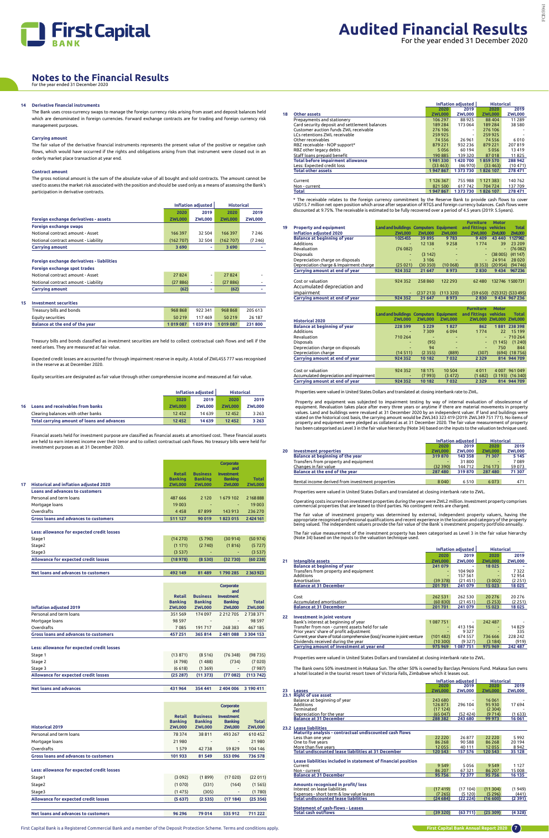

## **Notes to the Financial Results** for the year ended 31 December 2020

\* The receivable relates to the foreign currency commitment by the Reserve Bank to provide cash flows to cover USD15.7 million net open position which arose after separation of RTGS and foreign currency balances. Cash flows were<br>discounted at 9.75%. The receivable is estimated to be fully recovered over a period of 4.5 years (2019:

|    |                                               |               | Inflation adiusted | <b>Historical</b> |               |
|----|-----------------------------------------------|---------------|--------------------|-------------------|---------------|
|    |                                               | 2020          | 2019               | 2020              | 2019          |
| 18 | <b>Other assets</b>                           | <b>ZWL000</b> | <b>ZWL000</b>      | <b>ZWL000</b>     | <b>ZWL000</b> |
|    | Prepayments and stationery                    | 106 297       | 88925              | 88 40 4           | 11 2 8 9      |
|    | Card security deposit and settlement balances | 189 284       | 173 064            | 189 284           | 38 5 8 0      |
|    | Customer auction funds ZWL receivable         | 276 106       | -                  | 276 106           |               |
|    | LCs retentions ZWL receivable                 | 259 925       | -                  | 259 925           |               |
|    | Other receivables                             | 74 5 5 6      | 26 961             | 74 5 5 6          | 6010          |
|    | RBZ receivable - NOP support*                 | 879 221       | 932 236            | 879 221           | 207819        |
|    | RBZ other legacy debts                        | 5056          | 60 194             | 5056              | 13419         |
|    | Staff loans prepaid benefit                   | 190 885       | 139320             | 87018             | 11825         |
|    | <b>Total before impairment allowance</b>      | 1981330       | 1420700            | 1859570           | 288 942       |
|    | Less: Expected credit loss                    | (33 463)      | (46970)            | (33 463)          | (10471)       |
|    | <b>Total other assets</b>                     | 1947867       | 1373730            | 1826 107          | 278 471       |
|    |                                               |               |                    |                   |               |
|    | Current                                       | 1 1 2 6 3 6 7 | 755988             | 1 1 2 1 3 8 3     | 140762        |
|    | Non - current                                 | 821 500       | 617742             | 704 724           | 137709        |
|    | Total                                         | 1947867       | 1373730            | 1826 107          | 278 471       |

|    |                                         |                                               |               |               | <b>Furniture</b>      | <b>Motor</b>   |                    |
|----|-----------------------------------------|-----------------------------------------------|---------------|---------------|-----------------------|----------------|--------------------|
| 19 | <b>Property and equipment</b>           | <b>Land and buildings Computers Equipment</b> |               |               | and fittings vehicles |                | <b>Total</b>       |
|    | <b>Inflation adjusted 2020</b>          | <b>ZWL000</b>                                 | <b>ZWL000</b> | <b>ZWL000</b> | <b>ZWL000</b>         | ZWL000         | <b>ZWL000</b>      |
|    | <b>Balance at beginning of year</b>     | 1025455                                       | 39 895        | 9783          | 9 4 0 9               | 43 440         | 1127982            |
|    | Additions                               | $\overline{\phantom{0}}$                      | 12 13 8       | 9 2 5 8       | 1 7 7 4               | 39             | 23 209             |
|    | Revaluation                             | (76082)                                       |               | ٠             |                       | $\blacksquare$ | (76082)            |
|    | <b>Disposals</b>                        | -                                             | (3142)        | ٠             |                       | (38005)        | (41147)            |
|    | Depreciation charge on disposals        | ٠                                             | 3 10 6        | ۰             |                       | 24914          | 28 0 20            |
|    | Depreciation charge & Impairment charge | (25021)                                       | (30350)       | (10068)       | (8353)                | (20954)        | (94746)            |
|    | Carrying amount at end of year          | 924 352                                       | 21 647        | 8973          | 2830                  | 9434           | 967 236            |
|    |                                         |                                               |               |               |                       |                |                    |
|    | Cost or valuation                       | 924 352                                       | 258 860       | 122 293       | 62 480                |                | 132 746 1 500 731  |
|    | Accumulated depreciation and            |                                               |               |               |                       |                |                    |
|    | impairment                              |                                               | (237 213)     | (113320)      | (59650)               |                | (123312) (533 495) |
|    | Carrying amount at end of year          | 924 352                                       | 21 647        | 8973          | 2830                  |                | 9 434 967 236      |

|                                         | <b>Land and buildings Computers Equipment</b> |               |               | <b>Furniture</b><br>and fittings | <b>Motor</b><br>vehicles | <b>Total</b>         |
|-----------------------------------------|-----------------------------------------------|---------------|---------------|----------------------------------|--------------------------|----------------------|
|                                         |                                               |               |               |                                  |                          |                      |
| <b>Historical 2020</b>                  | <b>ZWL000</b>                                 | <b>ZWL000</b> | <b>ZWL000</b> | <b>7WI 000</b>                   | <b>ZWL000 ZWL000</b>     |                      |
| <b>Balance at beginning of year</b>     | 228 599                                       | 5 2 2 9       | 1827          | 862                              | 1881                     | 238 398              |
| Additions                               | ۰                                             | 7309          | 6094          | 1774                             | 22                       | 15 199               |
| Revaluation                             | 710 264                                       | -             | ٠             | -                                |                          | $-710264$            |
| <b>Disposals</b>                        | -                                             | (95)          | ٠             | ٠                                | (1145)                   | (1240)               |
| Depreciation charge on disposals        |                                               | 94            | ٠             | ۰.                               | 750                      | 844                  |
| Depreciation charge                     | (14511)                                       | (2355)        | (889)         | (307)                            | (694)                    | (18756)              |
| Carrying amount at end of year          | 924 352                                       | 10 182        | 7032          | 2 3 2 9                          |                          | 814 944 709          |
|                                         |                                               |               |               |                                  |                          |                      |
| Cost or valuation                       | 924 352                                       | 18 17 5       | 10 504        | 4011                             |                          | 4 007 961 049        |
| Accumulated depreciation and impairment | ۰                                             | (7993)        | (3 472)       | (1682)                           |                          | $(3 193)$ $(16 340)$ |
| Carrying amount at end of year          | 924 352                                       | 10 182        | 7032          | 2 3 2 9                          | 814                      | 944 709              |

Properties were valued in United States Dollars and translated at closing interbank rate to ZWL.

Property and equipment was subjected to impairment testing by way of internal evaluation of obsolescence of<br>equipment. Revaluation takes place after every three years or anytime if there are material movements in property<br> stated on the historical cost basis, the carrying amount would be ZWL343 323 419 (2019: ZWL349 751 771). No items of<br>property and equipment were pledged as collateral as at 31 December 2020. The fair value measurement of p

|    |                                                  |               | Inflation adjusted | <b>Historical</b><br>2019<br>2020<br><b>ZWL000</b><br><b>ZWL000</b><br>5 1 4 5<br>71307<br>7089<br>59 0 73<br>216 173<br>287 480<br>71 307<br>6073<br>471 |  |
|----|--------------------------------------------------|---------------|--------------------|-----------------------------------------------------------------------------------------------------------------------------------------------------------|--|
|    |                                                  | 2020          | 2019               |                                                                                                                                                           |  |
| 20 | <b>Investment properties</b>                     | <b>ZWL000</b> | <b>ZWL000</b>      |                                                                                                                                                           |  |
|    | Balance at beginning of the year                 | 319 870       | 143 358            |                                                                                                                                                           |  |
|    | Transfers from property and equipment            |               | 31800              |                                                                                                                                                           |  |
|    | Changes in fair value                            | (32390)       | 144 712            |                                                                                                                                                           |  |
|    | Balance at the end of the year                   | 287 480       | 319 870            |                                                                                                                                                           |  |
|    |                                                  |               |                    |                                                                                                                                                           |  |
|    | Rental income derived from investment properties | 8040          | 6 5 1 0            |                                                                                                                                                           |  |
|    |                                                  |               |                    |                                                                                                                                                           |  |

Properties were valued in United States Dollars and translated at closing interbank rate to ZWL.

Operating costs incurred on investment properties during the year were ZWL2 million. Investment property comprises commercial properties that are leased to third parties. No contingent rents are charged.

The fair value of investment property was determined by external, independent property valuers, having the<br>appropriate recognised professional qualifications and recent experience in the location and category of the proper

The fair value measurement of the investment property has been categorised as Level 3 in the fair value hierarchy (Note 34) based on the inputs to the valuation technique used.

|    |                                                                          |               | Inflation adjusted | <b>Historical</b> |               |
|----|--------------------------------------------------------------------------|---------------|--------------------|-------------------|---------------|
|    |                                                                          | 2020          | 2019               | 2020              | 2019          |
| 21 | <b>Intangible assets</b>                                                 | <b>ZWL000</b> | <b>ZWL000</b>      | <b>ZWL000</b>     | <b>ZWL000</b> |
|    | <b>Balance at beginning of year</b>                                      | 241 079       |                    | 18025             |               |
|    | Transfers from property and equipment                                    |               | 104 969            |                   | 7322          |
|    | Additions                                                                |               | 157 561            |                   | 12 954        |
|    | Amortisation                                                             | (39378)       | (21451)            | (3002)            | (2251)        |
|    | <b>Balance at 31 December</b>                                            | 201701        | 241 079            | 15 023            | 18 0 25       |
|    |                                                                          |               |                    |                   |               |
|    | Cost                                                                     | 262 531       | 262 530            | 20 27 6           | 20 276        |
|    | Accumulated amortisation                                                 | (60 830)      | (21451)            | (5253)            | (2251)        |
|    | <b>Balance at 31 December</b>                                            | 201701        | 241 079            | 15 023            | 18 025        |
|    |                                                                          |               |                    |                   |               |
| 22 | <b>Investment in joint venture</b>                                       |               |                    |                   |               |
|    | Bank's interest at beginning of year                                     | 1087751       |                    | 242 487           |               |
|    | Transfer from non - current assets held for sale                         |               | 413 194            |                   | 14829         |
|    | Prior years' share of profit adjustment                                  |               | 9327               |                   | 335           |
|    | Current year share of total comprehensive (loss)/income in joint venture | (101482)      | 674 557            | 736 666           | 228 242       |
|    | Dividends received during the year                                       | (10300)       | (9327)             | (3184)            | (919)         |
|    | Carrying amount of investment at year end                                | 975969        | 1087751            | 975 969           | 242 487       |

**Carrying amount of investment at year end 975 969 1 087 751 975 969 242 487** 

Properties were valued in United States Dollars and translated at closing interbank rate to ZWL.

The Bank owns 50% investment in Makasa Sun. The other 50% is owned by Barclays Pensions Fund. Makasa Sun owns a hotel located in the tourist resort town of Victoria Falls, Zimbabwe which it leases out.

|    |                               |               | Inflation adiusted | <b>Historical</b> |               |
|----|-------------------------------|---------------|--------------------|-------------------|---------------|
|    |                               | 2020          | 2019               | 2020              | 2019          |
| 23 | Leases                        | <b>ZWL000</b> | <b>ZWL000</b>      | <b>ZWL000</b>     | <b>ZWL000</b> |
|    | 23.1 Right of use asset       |               |                    |                   |               |
|    | Balance at beginning of year  | 243 680       |                    | 16 0 61           |               |
|    | Additions                     | 126873        | 296 104            | 95 930            | 17694         |
|    | Terminated                    | (17124)       |                    | (2304)            |               |
|    | Depreciation for the year     | (65047)       | (52, 424)          | (9714)            | (1633)        |
|    | <b>Balance at 31 December</b> | 288 382       | 243 680            | 99 973            | 16 061        |
|    |                               |               |                    |                   |               |

#### **23.2 Lease liabilities**

| Maturity analysis - contractual undiscounted cash flows    |          |         |          |        |
|------------------------------------------------------------|----------|---------|----------|--------|
| Less than one year                                         | 22 2 2 0 | 26877   | 22 2 2 0 | 5992   |
| One to five years                                          | 86 268   | 90 588  | 86 268   | 20 194 |
| More than five years                                       | 12055    | 40 111  | 12055    | 8942   |
| <b>Total undiscounted lease liabilities at 31 December</b> | 120 543  | 157 576 | 120 543  | 35 128 |

#### **Lease liabilities included in statement of financial position**

| Current                       | 9 5 4 9 | 5056  | 9 5 4 9 | 1 1 2 7 |
|-------------------------------|---------|-------|---------|---------|
| Non - current                 | 86 207  | 67321 | 86 207  | 15 008  |
| <b>Balance at 31 December</b> | 95 756  | 72377 | 95 756  | 16 135  |

#### **Amounts recognised in profit/ loss**

| Interest on lease liabilities               | (17, 419) | (17104) | (11304)  | (1949) |
|---------------------------------------------|-----------|---------|----------|--------|
| Expenses - short term & low value leases    | (7265)    | (5120)  | (5, 296) | (441)  |
| <b>Total undiscounted lease liabilities</b> | (24684)   | (22224) | (16600)  | (2391) |

#### **Statement of cash-flows - Leases**

#### **14 Derivative financial instruments**

The Bank uses cross-currency swaps to manage the foreign currency risks arising from asset and deposit balances held which are denominated in foreign currencies. Forward exchange contracts are for trading and foreign currency risk management purposes.

#### **Carrying amount**

The fair value of the derivative financial instruments represents the present value of the positive or negative cash flows, which would have occurred if the rights and obligations arising from that instrument were closed out in an orderly market place transaction at year end.

#### **Contract amount**

The gross notional amount is the sum of the absolute value of all bought and sold contracts. The amount cannot be used to assess the market risk associated with the position and should be used only as a means of assessing the Bank's participation in derivative contracts.

|                                       | Inflation adjusted<br><b>Historical</b> |               |               |               |
|---------------------------------------|-----------------------------------------|---------------|---------------|---------------|
|                                       | 2020                                    | 2019          | 2020          | 2019          |
| Foreign exchange derivatives - assets | <b>ZWL000</b>                           | <b>ZWL000</b> | <b>ZWL000</b> | <b>ZWL000</b> |
| <b>Foreign exchange swaps</b>         |                                         |               |               |               |
| Notional contract amount - Asset      | 166 397                                 | 32 504        | 166 397       | 7 2 4 6       |
| Notional contract amount - Liability  | (162 707)                               | 32 504        | (162 707)     | (7246)        |
| <b>Carrying amount</b>                | 3 6 9 0                                 |               | 3690          |               |

#### **Foreign exchange derivatives - liabilities**

|  |  | Foreign exchange spot trades |
|--|--|------------------------------|
|--|--|------------------------------|

| <b>Carrying amount</b>               | (62)    |                          | (62)    |                          |
|--------------------------------------|---------|--------------------------|---------|--------------------------|
| Notional contract amount - Liability | (27886) | $\overline{\phantom{a}}$ | (27886) | $\overline{\phantom{0}}$ |
| Notional contract amount - Asset     | 27824   | $\blacksquare$           | 27824   | $\overline{\phantom{0}}$ |
|                                      |         |                          |         |                          |

#### **15 Investment securities**

| Treasury bills and bonds       | 968 868 | 922341          | 968 868 | 205 613 |
|--------------------------------|---------|-----------------|---------|---------|
| Equity securities              | 50.219  | 117469          | 50 219  | 26 187  |
| Balance at the end of the year | 1019087 | 1039810 1019087 |         | 231800  |
|                                |         |                 |         |         |

Treasury bills and bonds classified as investment securities are held to collect contractual cash flows and sell if the need arises. They are measured at fair value.

Expected credit losses are accounted for through impairment reserve in equity. A total of ZWL455 777 was recognised in the reserve as at December 2020.

Equity securities are designated as fair value through other comprehensive income and measured at fair value.

|                                             | Inflation adjusted |               | <b>Historical</b> |               |
|---------------------------------------------|--------------------|---------------|-------------------|---------------|
|                                             | 2020               | 2019          | 2020              | 2019          |
| 16 Loans and receivables from banks         | <b>ZWL000</b>      | <b>ZWL000</b> | <b>ZWL000</b>     | <b>ZWL000</b> |
| Clearing balances with other banks          | 12 4 5 2           | 14 639        | 12 4 5 2          | 3 2 6 3       |
| Total carrying amount of loans and advances | 12 452             | 14 639        | 12 452            | 3 2 6 3       |

Financial assets held for investment purpose are classified as financial assets at amortised cost. These financial assets are held to earn interest income over their tenor and to collect contractual cash flows. No treasury bills were held for investment purposes as at 31 December 2020.

|                                              | <b>Retail</b><br><b>Banking</b> | <b>Business</b><br><b>Banking</b> | Corporate<br>and<br><b>Investment</b><br><b>Banking</b> | <b>Total</b>             |
|----------------------------------------------|---------------------------------|-----------------------------------|---------------------------------------------------------|--------------------------|
| Historical and inflation adjusted 2020<br>17 | <b>ZWL000</b>                   | <b>ZWL000</b>                     | <b>ZWL000</b>                                           | <b>ZWL000</b>            |
| Loans and advances to customers              |                                 |                                   |                                                         |                          |
| Personal and term loans                      | 487 666                         | 2 1 2 0                           | 1679 102                                                | 2 168 888                |
| Mortgage loans                               | 19 003                          |                                   |                                                         | 19 003                   |
| Overdrafts                                   | 4458                            | 87899                             | 143 913                                                 | 236 270                  |
| Gross loans and advances to customers        | 511 127                         | 90 019                            | 1823015                                                 | 2424161                  |
| Less: allowance for expected credit losses   |                                 |                                   |                                                         |                          |
| Stage1                                       | (14270)                         | (5790)                            | (30914)                                                 | (50974)                  |
| Stage2                                       | (1171)                          | (2740)                            | (1816)                                                  | (5727)                   |
| Stage3                                       | (3537)                          |                                   |                                                         | (3537)                   |
| Allowance for expected credit losses         | (18978)                         | (8530)                            | (32730)                                                 | (60238)                  |
| Net loans and advances to customers          | 492 149                         | 81 489                            | 1790285                                                 | 2363923                  |
|                                              | <b>Retail</b><br><b>Banking</b> | <b>Business</b><br><b>Banking</b> | Corporate<br>and<br><b>Investment</b><br><b>Banking</b> | <b>Total</b>             |
| <b>Inflation adjusted 2019</b>               | <b>ZWL000</b>                   | <b>ZWL000</b>                     | <b>ZWL000</b>                                           | <b>ZWL000</b>            |
| Personal and term loans                      | 351 569                         | 174 097                           | 2 2 1 2 7 0 5                                           | 2 7 3 8 3 7 1            |
| Mortgage loans<br>Overdrafts                 | 98 5 97                         |                                   |                                                         | 98 5 97                  |
|                                              | 7085                            | 191717                            | 268 383                                                 | 467 185<br>3 3 0 4 1 5 3 |
|                                              |                                 |                                   |                                                         |                          |
| <b>Gross loans and advances to customers</b> | 457 251                         | 365 814                           | 2 481 088                                               |                          |
| Less: allowance for expected credit losses   |                                 |                                   |                                                         |                          |
| Stage 1                                      | (13871)                         | (8516)                            | (76348)                                                 | (98735)                  |

| Stage 3                              | (6618) | (1369)                                   | '7987 |
|--------------------------------------|--------|------------------------------------------|-------|
| Allowance for expected credit losses |        | $(25287)$ $(11373)$ $(77082)$ $(113742)$ |       |

| Net loans and advances<br>431964 |  | 354 441 2 404 006 3 190 411 |  |
|----------------------------------|--|-----------------------------|--|
|----------------------------------|--|-----------------------------|--|

|                                              | <b>Retail</b><br><b>Banking</b> | <b>Business</b><br><b>Banking</b> | Corporate<br>and<br><b>Investment</b><br><b>Banking</b> | <b>Total</b>  |
|----------------------------------------------|---------------------------------|-----------------------------------|---------------------------------------------------------|---------------|
| <b>Historical 2019</b>                       | <b>ZWL000</b>                   | <b>ZWL000</b>                     | <b>ZWL000</b>                                           | <b>ZWL000</b> |
| Personal and term loans                      | 78374                           | 38811                             | 493 267                                                 | 610452        |
| Mortgage loans                               | 21980                           | $\overline{\phantom{0}}$          | $\overline{\phantom{0}}$                                | 21 980        |
| Overdrafts                                   | 1579                            | 42738                             | 59829                                                   | 104 146       |
| <b>Gross loans and advances to customers</b> | 101933                          | 81549                             | 553 096                                                 | 736 578       |

#### **Less: allowance for expected credit losses**

| Net loans and advances to customers  | 96 296 | 79014  | 535 912 | 711 222 |
|--------------------------------------|--------|--------|---------|---------|
|                                      |        |        |         |         |
| Allowance for expected credit losses | (5637) | (2535) | (17184) | (25356) |
| Stage3                               | (1475) | (305)  |         | (1780)  |
| Stage2                               | (1070) | (331)  | (164)   | (1565)  |
| Stage1                               | (3092) | (1899) | (17020) | (22011) |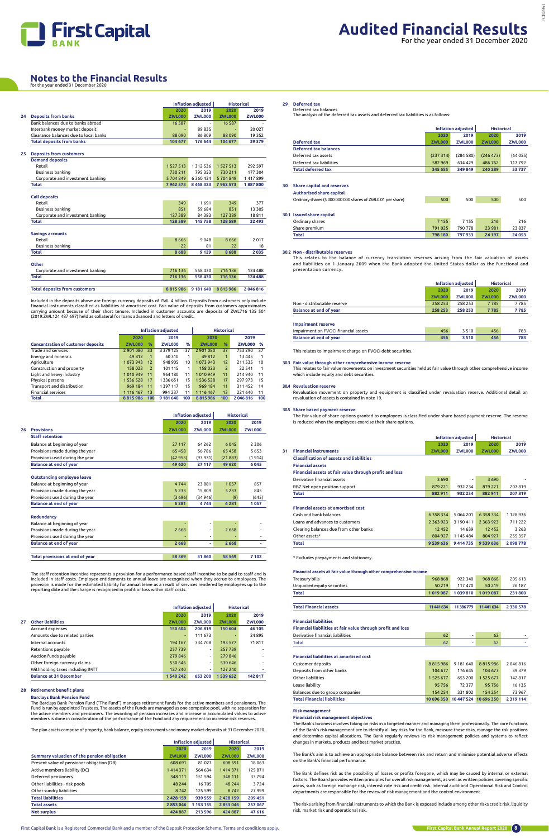

#### **Notes to the Financial Results** for the year ended 31 December 2020

#### **29 Deferred tax**

Deferred tax balances The analysis of the deferred tax assets and deferred tax liabilities is as follows:

|                              |               | <b>Inflation adjusted</b> |               | <b>Historical</b> |
|------------------------------|---------------|---------------------------|---------------|-------------------|
|                              | 2020          | 2019                      | 2020          | 2019              |
| Deferred tax                 | <b>ZWL000</b> | <b>ZWL000</b>             | <b>ZWL000</b> | <b>ZWL000</b>     |
| <b>Deferred tax balances</b> |               |                           |               |                   |
| Deferred tax assets          | (237314)      | (284580)                  | (246 473)     | (64055)           |
| Deferred tax liabilities     | 582 969       | 634 429                   | 486762        | 117792            |
| <b>Total deferred tax</b>    | 345 655       | 349 849                   | 240 289       | 53737             |
|                              |               |                           |               |                   |

#### **30 Share capital and reserves**

| <b>Authorised share capital</b>                             |         |         |        |       |
|-------------------------------------------------------------|---------|---------|--------|-------|
| Ordinary shares (5 000 000 000 shares of ZWL0.01 per share) | 500     | 500     | 500    | 500   |
|                                                             |         |         |        |       |
| <b>30.1 Issued share capital</b>                            |         |         |        |       |
| Ordinary shares                                             | 7 1 5 5 | 7155    | 216    | 216   |
| Share premium                                               | 791 025 | 790 778 | 23 981 | 23837 |

**Total 798 180 797 933 24 197 24 053** 

#### **30.2 Non - distributable reserves**

This relates to the balance of currency translation reserves arising from the fair valuation of assets and liabilities on 1 January 2009 when the Bank adopted the United States dollar as the functional and presentation currency.

|                               | Inflation adjusted |               | <b>Historical</b> |               |
|-------------------------------|--------------------|---------------|-------------------|---------------|
|                               | 2020               | 2019          | 2020              | 2019          |
|                               | <b>ZWL000</b>      | <b>ZWL000</b> | <b>ZWL000</b>     | <b>ZWL000</b> |
| Non - distributable reserve   | 258 253            | 258 253       | 7785              | 7785          |
| <b>Balance at end of year</b> | 258 253            | 258 253       | 7785              | 7785          |
| <b>Impairment reserve</b>     |                    |               |                   |               |
|                               |                    |               |                   |               |

| <b>Balance at end of year</b><br>3510 |  |
|---------------------------------------|--|

This relates to impairment charge on FVOCI debt securities.

#### **30.3 Fair value through other comprehensive income reserve**

**30.4 Revaluation reserve**

This relates to fair value movements on investment securities held at fair value through other comprehensive income which include equity and debt securities.

**30.5 Share based payment reserve**

Revaluation movement on property and equipment is classified under revaluation reserve. Additional detail on

### revaluation of assets is contained in note 19.

The fair value of share options granted to employees is classified under share based payment reserve. The reserve is reduced when the employees exercise their share options.

|                                                        |               | <b>Inflation adjusted</b> | <b>Historical</b> |               |
|--------------------------------------------------------|---------------|---------------------------|-------------------|---------------|
|                                                        | 2020          | 2019                      | 2020              | 2019          |
| <b>Financial instruments</b><br>31                     | <b>ZWL000</b> | <b>ZWL000</b>             | <b>ZWL000</b>     | <b>ZWL000</b> |
| <b>Classification of assets and liabilities</b>        |               |                           |                   |               |
| <b>Financial assets</b>                                |               |                           |                   |               |
| Financial assets at fair value through profit and loss |               |                           |                   |               |
| Derivative financial assets                            | 3690          | $\overline{\phantom{a}}$  | 3690              |               |
| RBZ Net open position support                          | 879 221       | 932 234                   | 879 221           | 207819        |
| Total                                                  | 882 911       | 932 234                   | 882 911           | 207819        |
|                                                        |               |                           |                   |               |
| <b>Financial assets at amortised cost</b>              |               |                           |                   |               |
| Cash and bank balances                                 | 6358334       | 5 0 6 4 2 0 1             | 6358334           | 1128936       |
| Loans and advances to customers                        | 2 3 6 3 9 2 3 | 3 190 411                 | 2 3 6 3 9 2 3     | 711 222       |
| Clearing balances due from other banks                 | 12 4 5 2      | 14 6 39                   | 12 4 5 2          | 3 2 6 3       |
| Other assets*                                          | 804 927       | 1 145 484                 | 804 927           | 255 357       |
| Total                                                  | 9 539 636     | 9414735                   | 9 539 636         | 2098778       |

\* Excludes prepayments and stationery.

| Treasury bills                                              | 968 868    | 922 340  | 968 868  | 205 613       |
|-------------------------------------------------------------|------------|----------|----------|---------------|
| Unquoted equity securities                                  | 50 219     | 117470   | 50 219   | 26 187        |
| <b>Total</b>                                                | 1019087    | 1039810  | 1019087  | 231800        |
|                                                             |            |          |          |               |
| <b>Total Financial assets</b>                               | 11 441 634 | 11386779 | 11441634 | 2 3 3 0 5 7 8 |
|                                                             |            |          |          |               |
| <b>Financial liabilities</b>                                |            |          |          |               |
| Financial liabilities at fair value through profit and loss |            |          |          |               |
| Derivative financial liabilities                            | 62         | ۰        | 62       |               |
| Total                                                       | 62         | ۰        | 62       |               |

Customer deposits 8 815 986 9 181 640 8 815 986 2 046 816

| <b>Total Financial liabilities</b> | 10 696 350 10 447 524 10 696 350 |         |               | 2 3 1 9 1 1 4 |
|------------------------------------|----------------------------------|---------|---------------|---------------|
| Balances due to group companies    | 154 254                          | 331802  | 154 254       | 73967         |
| Lease liabilitv                    | 95756                            | 72 377  | 95756         | 16 135        |
| Other liabilities                  | 1 5 2 5 6 7 7                    | 653 200 | 1 5 2 5 6 7 7 | 142817        |
| Deposits from other banks          | 104 677                          | 176 645 | 104 677       | 39379         |
|                                    |                                  |         |               |               |

### **Risk management**

#### **Financial risk management objectives**

The staff retention incentive represents a provision for a performance based staff incentive to be paid to staff and is included in staff costs. Employee entitlements to annual leave are recognised when they accrue to employees. The provision is made for the estimated liability for annual leave as a result of services rendered by employees up to the<br>reporting date and the charge is recognised in profit or loss within staff costs.

> The Bank's business involves taking on risks in a targeted manner and managing them professionally. The core functions of the Bank's risk management are to identify all key risks for the Bank, measure these risks, manage the risk positions and determine capital allocations. The Bank regularly reviews its risk management policies and systems to reflect changes in markets, products and best market practice.

> The Bank's aim is to achieve an appropriate balance between risk and return and minimise potential adverse effects on the Bank's financial performance.

The Barclays Bank Pension Fund ("The Fund") manages retirement funds for the active members and pensioners. The Fund is run by appointed Trustees. The assets of the Funds are managed as one composite pool, with no separation for the active members and pensioners. The awarding of pension increases and increase in accumulated values to active<br>members is done in consideration of the performance of the Fund and any requirement to increase risk reserve

> The Bank defines risk as the possibility of losses or profits foregone, which may be caused by internal or external factors. The Board provides written principles for overall risk management, as well as written policies covering specific areas, such as foreign exchange risk, interest rate risk and credit risk. Internal audit and Operational Risk and Control departments are responsible for the review of risk management and the control environment.

> The risks arising from financial instruments to which the Bank is exposed include among other risks credit risk, liquidity risk, market risk and operational risk.

|                                       |               | <b>Inflation adjusted</b> |               |               |  |  |  |
|---------------------------------------|---------------|---------------------------|---------------|---------------|--|--|--|
|                                       | 2020          | 2019                      | 2020          | 2019          |  |  |  |
| <b>Deposits from banks</b>            | <b>ZWL000</b> | <b>ZWL000</b>             | <b>ZWL000</b> | <b>ZWL000</b> |  |  |  |
| Bank balances due to banks abroad     | 16 5 8 7      |                           | 16 5 8 7      |               |  |  |  |
| Interbank money market deposit        |               | 89835                     |               | 20 0 27       |  |  |  |
| Clearance balances due to local banks | 88 0 90       | 86809                     | 88090         | 19 3 5 2      |  |  |  |
| <b>Total deposits from banks</b>      | 104 677       | 176 644                   | 104 677       | 39 379        |  |  |  |
| <b>Deposits from customers</b>        |               |                           |               |               |  |  |  |
| <b>Demand deposits</b>                |               |                           |               |               |  |  |  |
| Retail                                | 1 5 2 7 5 1 3 | 1 3 1 2 5 3 6             | 1 5 2 7 5 1 3 | 292 597       |  |  |  |
| Business banking                      | 730 211       | 795 353                   | 730 211       | 177 304       |  |  |  |
| Corporate and investment banking      | 5704849       | 6 3 6 0 4 3 4             | 5704849       | 1417899       |  |  |  |
| <b>Total</b>                          | 7962573       | 8 4 6 8 3 2 3             | 7962573       | 1887800       |  |  |  |
|                                       |               |                           |               |               |  |  |  |
| <b>Call deposits</b>                  |               |                           |               |               |  |  |  |
| Retail                                | 349           | 1691                      | 349           | 377           |  |  |  |
| Business banking                      | 851           | 59 684                    | 851           | 13 305        |  |  |  |
| Corporate and investment banking      | 127 389       | 84 3 8 3                  | 127 389       | 18811         |  |  |  |
| <b>Total</b>                          | 128 589       | 145758                    | 128 589       | 32 493        |  |  |  |
| <b>Savings accounts</b>               |               |                           |               |               |  |  |  |
| Retail                                | 8666          | 9048                      | 8666          | 2017          |  |  |  |
| Business banking                      | 22            | 81                        | 22            | 18            |  |  |  |
| <b>Total</b>                          | 8688          | 9 1 2 9                   | 8688          | 2035          |  |  |  |
| Other                                 |               |                           |               |               |  |  |  |
| Corporate and investment banking      | 716 136       | 558 430                   | 716 136       | 124 488       |  |  |  |
| <b>Total</b>                          | 716 136       | 558 430                   | 716 136       | 124 488       |  |  |  |
|                                       |               |                           |               |               |  |  |  |
| <b>Total deposits from customers</b>  | 8815986       | 9 181 640                 | 8815986       | 2 046 816     |  |  |  |
|                                       |               |                           |               |               |  |  |  |

Included in the deposits above are foreign currency deposits of ZWL 4 billion. Deposits from customers only include financial instruments classified as liabilities at amortised cost. Fair value of deposits from customers approximates carrying amount because of their short tenure. Included in customer accounts are deposits of ZWL716 135 501 (2019:ZWL124 487 697) held as collateral for loans advanced and letters of credit.

|                                           | <b>Inflation adjusted</b> |                |               |     | <b>Historical</b> |                |               |     |
|-------------------------------------------|---------------------------|----------------|---------------|-----|-------------------|----------------|---------------|-----|
|                                           | 2020                      |                | 2019          |     | 2020              |                | 2019          |     |
| <b>Concentration of customer deposits</b> | <b>ZWL000</b>             | $\%$           | <b>ZWL000</b> | %   | <b>ZWL000</b>     | %              | <b>ZWL000</b> | %   |
| Trade and services                        | 2901080                   | 33             | 3 379 125     | 37  | 2901080           | 37             | 753 290       | 37  |
| Energy and minerals                       | 49812                     | 1              | 60310         | 1   | 49812             | 1              | 13 4 45       |     |
| Agriculture                               | 1073943                   | 12             | 948 905       | 10  | 1073943           | 12             | 211 535       | 10  |
| Construction and property                 | 158023                    | $\overline{2}$ | 101 115       | 1   | 158 023           | $\overline{2}$ | 22 541        |     |
| Light and heavy industry                  | 1010949                   | 11             | 964 180       | 11  | 1010949           | 11             | 214 940       | 11  |
| Physical persons                          | 1 5 3 6 5 2 8             | 17             | 1336651       | 15  | 1 536 528         | 17             | 297 973       | 15  |
| Transport and distribution                | 969 184                   | 11             | 1 397 117     | 15  | 969 184           | 11             | 311 452       | 14  |
| <b>Financial services</b>                 | 1 1 1 6 4 6 7             | 13             | 994 237       | 11  | 1 1 1 6 4 6 7     | 13             | 221 640       | 11  |
| Total                                     | 8815986                   | 100            | 9 181 640     | 100 | 8815986           | 100            | 2046816       | 100 |

|                                   |               | <b>Inflation adjusted</b> | <b>Historical</b> |               |  |
|-----------------------------------|---------------|---------------------------|-------------------|---------------|--|
|                                   | 2020          | 2019                      | 2020              | 2019          |  |
| <b>Provisions</b><br>26           | <b>ZWL000</b> | <b>ZWL000</b>             | <b>ZWL000</b>     | <b>ZWL000</b> |  |
| <b>Staff retention</b>            |               |                           |                   |               |  |
| Balance at beginning of year      | 27 117        | 64 2 62                   | 6 0 4 5           | 2 3 0 6       |  |
| Provisions made during the year   | 65 458        | 56786                     | 65 458            | 5653          |  |
| Provisions used during the year   | (42955)       | (93931)                   | (21883)           | (1914)        |  |
| <b>Balance at end of year</b>     | 49 620        | 27 117                    | 49 620            | 6 0 4 5       |  |
|                                   |               |                           |                   |               |  |
| <b>Outstanding employee leave</b> |               |                           |                   |               |  |
| Balance at beginning of year      | 4744          | 23881                     | 1057              | 857           |  |
| Provisions made during the year   | 5 2 3 3       | 15809                     | 5 2 3 3           | 845           |  |
| Provisions used during the year   | (3696)        | (34946)                   | (9)               | (645)         |  |
| <b>Balance at end of year</b>     | 6 2 8 1       | 4744                      | 6 2 8 1           | 1057          |  |
| Redundancy                        |               |                           |                   |               |  |
| Balance at beginning of year      |               |                           |                   |               |  |
| Provisions made during the year   | 2668          | $\overline{\phantom{0}}$  | 2668              |               |  |
| Provisions used during the year   |               | ۰                         |                   |               |  |
| <b>Balance at end of year</b>     | 2668          | ٠                         | 2 6 6 8           | ٠             |  |
| Total provisions at end of year   | 58 5 69       | 31860                     | 58 569            | 7 102         |  |
|                                   |               |                           |                   |               |  |

|                                  |               | <b>Inflation adjusted</b> | <b>Historical</b> |               |  |
|----------------------------------|---------------|---------------------------|-------------------|---------------|--|
|                                  | 2020          | 2019                      | 2020              | 2019          |  |
| <b>Other liabilities</b><br>27   | <b>ZWL000</b> | <b>ZWL000</b>             | <b>ZWL000</b>     | <b>ZWL000</b> |  |
| Accrued expenses                 | 150 604       | 206 819                   | 150 604           | 46 105        |  |
| Amounts due to related parties   | ٠             | 111 673                   |                   | 24895         |  |
| Internal accounts                | 194 167       | 334 708                   | 193 577           | 71817         |  |
| Retentions payable               | 257739        | $\overline{\phantom{a}}$  | 257739            |               |  |
| Auction funds payable            | 279 846       | $\overline{\phantom{a}}$  | 279846            |               |  |
| Other foreign currency claims    | 530 646       | $\overline{\phantom{a}}$  | 530 646           |               |  |
| Withholding taxes including IMTT | 127 240       | $\overline{\phantom{a}}$  | 127 240           |               |  |
| <b>Balance at 31 December</b>    | 1540242       | 653 200                   | 1 539 652         | 142817        |  |

#### **28 Retirement benefit plans**

#### **Barclays Bank Pension Fund**

The plan assets comprise of property, bank balance, equity instruments and money market deposits at 31 December 2020.

|                                             |               | <b>Inflation adjusted</b> | <b>Historical</b> |               |
|---------------------------------------------|---------------|---------------------------|-------------------|---------------|
|                                             | 2020          | 2019                      | 2020              | 2019          |
| Summary valuation of the pension obligation | <b>ZWL000</b> | <b>ZWL000</b>             | <b>ZWL000</b>     | <b>ZWL000</b> |
| Present value of pensioner obligation (DB)  | 608 691       | 81 0 27                   | 608 691           | 18 0 63       |
| Active members liability (DC)               | 1414371       | 564 634                   | 1414371           | 125871        |
| Deferred pensioners                         | 348 111       | 151 594                   | 348 111           | 33794         |
| Other liabilities - risk pools              | 48 244        | 16 705                    | 48 244            | 3724          |
| Other sundry liabilities                    | 8742          | 125 599                   | 8742              | 27999         |
| <b>Total liabilities</b>                    | 2 4 2 8 1 5 9 | 939 559                   | 2 4 2 8 1 5 9     | 209 451       |
| <b>Total assets</b>                         | 2853046       | 1 1 5 3 1 5 5             | 2853046           | 257 067       |
| <b>Net surplus</b>                          | 424 887       | 213 596                   | 424 887           | 47 616        |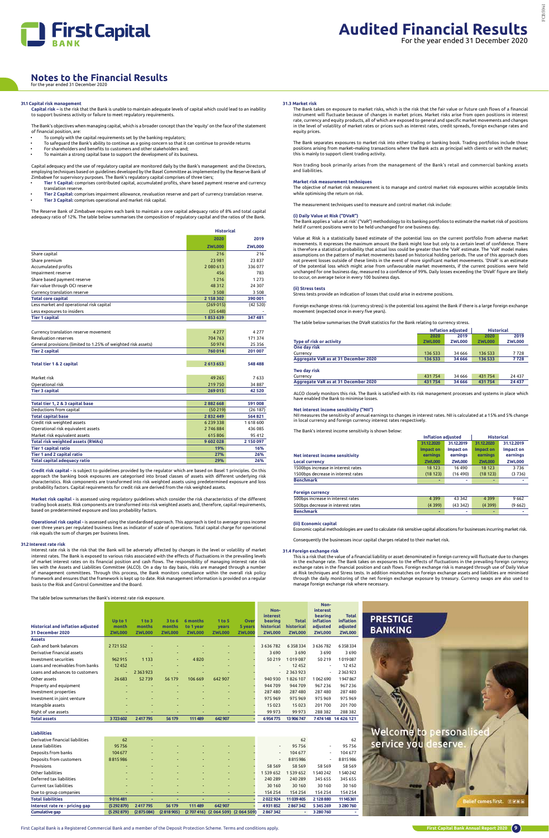

First Capital Bank is a Registered Commercial Bank and a member of the Deposit Protection Scheme. Terms and conditions apply.



### **Notes to the Financial Results** for the year ended 31 December 2020

**31.1 Capital risk management Capital risk –** is the risk that the Bank is unable to maintain adequate levels of capital which could lead to an inability to support business activity or failure to meet regulatory requirements.

- To comply with the capital requirements set by the banking regulators;
- To safeguard the Bank's ability to continue as a going concern so that it can continue to provide returns
- For shareholders and benefits to customers and other stakeholders and; • To maintain a strong capital base to support the development of its business.

Capital adequacy and the use of regulatory capital are monitored daily by the Bank's management and the Directors, employing techniques based on guidelines developed by the Basel Committee as implemented by the Reserve Bank of<br>Zimbabwe for supervisory purposes. The Bank's regulatory capital comprises of three tiers;  $\frac{3}{2}$  for supervisory purposes. The Bank's regulatory capital comprises of three tiers;

The Bank's objectives when managing capital, which is a broader concept than the 'equity' on the face of the statement of financial position, are:

- **Tier 1 Capital:** comprises contributed capital, accumulated profits, share based payment reserve and currency translation reserve.
- **Tier 2 Capital:** comprises impairment allowance, revaluation reserve and part of currency translation reserve. • **Tier 3 Capital:** comprises operational and market risk capital.

The Reserve Bank of Zimbabwe requires each bank to maintain a core capital adequacy ratio of 8% and total capital adequacy ratio of 12%. The table below summarises the composition of regulatory capital and the ratios of the Bank.

**Market risk capital -** is assessed using regulatory guidelines which consider the risk characteristics of the different trading book assets. Risk components are transformed into risk weighted assets and, therefore, capital requirements,<br>based on predetermined exposure and loss probability factors.

**Operational risk capital -** is assessed using the standardised approach. This approach is tied to average gross income<br>over three years per regulated business lines as indicator of scale of operations. Total capital charg risk equals the sum of charges per business lines.

|                                                               | <b>Historical</b> |               |  |  |
|---------------------------------------------------------------|-------------------|---------------|--|--|
|                                                               | 2020              | 2019          |  |  |
|                                                               | <b>ZWL000</b>     | <b>ZWL000</b> |  |  |
| Share capital                                                 | 216               | 216           |  |  |
| Share premium                                                 | 23 981            | 23837         |  |  |
| Accumulated profits                                           | 2 080 613         | 336077        |  |  |
| Impairment reserve                                            | 456               | 783           |  |  |
| Share based payment reserve                                   | 1216              | 1 2 7 3       |  |  |
| Fair value through OCI reserve                                | 48 312            | 24 307        |  |  |
| Currency translation reserve                                  | 3508              | 3508          |  |  |
| <b>Total core capital</b>                                     | 2 158 302         | 390 001       |  |  |
| Less market and operational risk capital                      | (269015)          | (42520)       |  |  |
| Less exposures to insiders                                    | (35648)           |               |  |  |
| <b>Tier 1 capital</b>                                         | 1853639           | 347 481       |  |  |
|                                                               |                   |               |  |  |
| Currency translation reserve movement                         | 4 2 7 7           | 4 2 7 7       |  |  |
| <b>Revaluation reserves</b>                                   | 704763            | 171374        |  |  |
| General provisions (limited to 1.25% of weighted risk assets) | 50 974            | 25 356        |  |  |
| <b>Tier 2 capital</b>                                         | 760 014           | 201 007       |  |  |
|                                                               |                   |               |  |  |
| <b>Total tier 1 &amp; 2 capital</b>                           | 2 613 653         | 548 488       |  |  |
| Market risk                                                   | 49 2 65           | 7633          |  |  |
| Operational risk                                              | 219750            | 34887         |  |  |
| <b>Tier 3 capital</b>                                         | 269 015           | 42 5 20       |  |  |
|                                                               |                   |               |  |  |
| Total tier 1, 2 & 3 capital base                              | 2882668           | 591 008       |  |  |
| Deductions from capital                                       | (50219)           | (26187)       |  |  |
| <b>Total capital base</b>                                     | 2832449           | 564 821       |  |  |
| Credit risk weighted assets                                   | 6 2 3 9 3 3 8     | 1618600       |  |  |
| Operational risk equivalent assets                            | 2746884           | 436 085       |  |  |
| Market risk equivalent assets                                 | 615806            | 95 412        |  |  |
| <b>Total risk weighted assets (RWAs)</b>                      | 9602028           | 2 150 097     |  |  |
| <b>Tier 1 capital ratio</b>                                   | 19%               | 16%           |  |  |
| Tier 1 and 2 capital ratio                                    | 27%               | 26%           |  |  |
| <b>Total capital adequacy ratio</b>                           | 29%               | 26%           |  |  |
|                                                               |                   |               |  |  |

**Credit risk capital -** is subject to guidelines provided by the regulator which are based on Basel 1 principles. On this approach the banking book exposures are categorised into broad classes of assets with different underlying risk characteristics. Risk components are transformed into risk weighted assets using predetermined exposure and loss probability factors. Capital requirements for credit risk are derived from the risk weighted assets.

The Bank separates exposures to market risk into either trading or banking book. Trading portfolios include those<br>positions arising from market–making transactions where the Bank acts as principal with clients or with the this is mainly to support client trading activity.

#### **31.2 Interest rate risk**

. .<br>The Bank applies a 'value at risk<sup>'</sup> ("VaR") methodology to its banking portfolios to estimate the market risk of positions held if current positions were to be held unchanged for one business day.

Interest rate risk is the risk that the Bank will be adversely affected by changes in the level or volatility of market interest rates. The Bank is exposed to various risks associated with the effects of fluctuations in the prevailing levels<br>of market interest rates on its financial position and cash flows. The responsibility of managing in lies with the Assets and Liabilities Committee (ALCO). On a day to day basis, risks are managed through a number of management committees. Through this process, the Bank monitors compliance within the overall risk policy framework and ensures that the framework is kept up to date. Risk management information is provided on a regular basis to the Risk and Control Committee and the Board.

The table below summarises the Bank's interest rate risk exposure.

ALCO closely monitors this risk. The Bank is satisfied with its risk management processes and systems in place which have enabled the Bank to minimise losse

|                                          |               |               |               |               |               |               | Non-<br>interest         |               | Non-<br><b>interest</b><br>bearing | <b>Total</b>       |
|------------------------------------------|---------------|---------------|---------------|---------------|---------------|---------------|--------------------------|---------------|------------------------------------|--------------------|
|                                          | Up to 1       | 1 to 3        | 3 to 6        | 6 months      | 1 to 5        | Over          | bearing                  | <b>Total</b>  | inflation                          | inflation          |
| <b>Historical and inflation adjusted</b> | month         | months        | months        | to 1 year     | years         | 5 years       | historical               | historical    | adjusted                           | adjusted           |
| 31 December 2020                         | <b>ZWL000</b> | <b>ZWL000</b> | <b>ZWL000</b> | <b>ZWL000</b> | <b>ZWL000</b> | <b>ZWL000</b> | <b>ZWL000</b>            | <b>ZWL000</b> | <b>ZWL000</b>                      | <b>ZWL000</b>      |
| <b>Assets</b>                            |               |               |               |               |               |               |                          |               |                                    |                    |
| Cash and bank balances                   | 2721552       |               |               |               |               |               | 3 6 3 6 7 8 2            | 6358334       | 3 6 3 6 7 8 2                      | 6358334            |
| Derivative financial assets              |               |               |               |               |               |               | 3690                     | 3690          | 3690                               | 3690               |
| Investment securities                    | 962 915       | 1 1 3 3       |               | 4820          |               |               | 50 219                   | 1019087       | 50 219                             | 1019087            |
| Loans and receivables from banks         | 12452         |               |               |               |               |               |                          | 12 4 5 2      |                                    | 12 4 5 2           |
| Loans and advances to customers          | $\sim$        | 2 3 6 3 9 2 3 |               |               |               |               |                          | 2 3 6 3 9 2 3 |                                    | 2 3 6 3 9 2 3      |
| Other assets                             | 26 683        | 52739         | 56 179        | 106 669       | 642 907       |               | 940 930                  | 1826 107      | 1062690                            | 1947867            |
| Property and equipment                   |               |               |               |               |               |               | 944 709                  | 944 709       | 967 236                            | 967 236            |
| Investment properties                    |               |               |               |               |               |               | 287 480                  | 287 480       | 287 480                            | 287 480            |
| Investment in joint venture              |               |               |               |               |               |               | 975 969                  | 975969        | 975 969                            | 975 969            |
| Intangible assets                        |               |               |               |               |               |               | 15 0 23                  | 15 0 23       | 201700                             | 201700             |
| Right of use assets                      |               |               |               |               |               |               | 99 973                   | 99 973        | 288 382                            | 288 382            |
| <b>Total assets</b>                      | 3723602       | 2417795       | 56 179        | 111489        | 642907        |               | 6954775                  | 13 906 747    |                                    | 7474148 14 426 121 |
|                                          |               |               |               |               |               |               |                          |               |                                    |                    |
| <b>Liabilities</b>                       |               |               |               |               |               |               |                          |               |                                    |                    |
| Derivative financial liabilities         | 62            |               |               |               |               |               |                          | 62            |                                    | 62                 |
| Lease liabilities                        | 95756         |               |               |               |               |               |                          | 95756         | $\overline{\phantom{a}}$           | 95756              |
| Deposits from banks                      | 104 677       |               |               |               |               |               | $\overline{\phantom{a}}$ | 104 677       | $\sim$                             | 104 677            |
| Deposits from customers                  | 8815986       |               |               |               |               |               |                          | 8815986       |                                    | 8815986            |
| Provisions                               |               |               |               |               |               |               | 58 5 69                  | 58 5 69       | 58 5 69                            | 58 5 69            |
| Other liabilities                        |               |               |               |               |               |               | 1 539 652                | 1 539 652     | 540 242                            | 1540242            |
| Deferred tax liabilities                 |               |               |               |               |               |               | 240 289                  | 240 289       | 345 655                            | 345 655            |
| Current tax liabilities                  |               |               |               |               |               |               | 30 160                   | 30 160        | 30 160                             | 30 160             |
| Due to group companies                   |               |               |               |               |               |               | 154 254                  | 154 254       | 154 254                            | 154 254            |
| <b>Total liabilities</b>                 | 9016481       |               |               |               |               |               | 2022924                  | 11 039 405    | 2128880                            | 11145361           |
| Interest rate re - pricing gap           | (5292879)     | 2417795       | 56 179        | 111 489       | 642 907       |               | 4931852                  | 2867342       | 5345269                            | 3 280 760          |

**Cumulative gap (5 292 879) (2 875 084) (2 818 905) (2 707 416) (2 064 509) (2 064 509) 2 867 342 - 3 280 760 -**

**31.3 Market risk** 

The Bank takes on exposure to market risks, which is the risk that the fair value or future cash flows of a financial instrument will fluctuate because of changes in market prices. Market risks arise from open positions in interest rate, currency and equity products, all of which are exposed to general and specific market movements and changes in the level of volatility of market rates or prices such as interest rates, credit spreads, foreign exchange rates and equity prices.

Non trading book primarily arises from the management of the Bank's retail and commercial banking assets and liabilities.

#### **Market risk measurement techniques**

The objective of market risk measurement is to manage and control market risk exposures within acceptable limits while optimising the return on risk.

The measurement techniques used to measure and control market risk include:

#### **(i) Daily Value at Risk ("DVaR")**

Value at Risk is a statistically based estimate of the potential loss on the current portfolio from adverse market movements. It expresses the maximum amount the Bank might lose but only to a certain level of confidence. There is therefore a statistical probability that actual loss could be greater than the 'VaR' estimate. The 'VaR' model makes<br>assumptions on the pattern of market movements based on historical holding periods. The use of this ap not prevent losses outside of these limits in the event of more significant market movements. 'DVaR' is an estimate of the potential loss which might arise from unfavourable market movements, if the current positions were held unchanged for one business day, measured to a confidence of 99%. Daily losses exceeding the 'DVaR' figure are likely to occur, on average twice in every 100 business days.

#### **(ii) Stress tests**

Stress tests provide an indication of losses that could arise in extreme positions.

Foreign exchange stress risk (currency stress) is the potential loss against the Bank if there is a large foreign exchange movement (expected once in every five years).

The table below summarises the DVaR statistics for the Bank relating to currency stress.

|                                      |               | Inflation adiusted | <b>Historical</b> |               |  |
|--------------------------------------|---------------|--------------------|-------------------|---------------|--|
|                                      | 2020          | 2019               | 2020              | 2019          |  |
| Type of risk or activity             | <b>ZWL000</b> | <b>ZWL000</b>      | <b>ZWL000</b>     | <b>ZWL000</b> |  |
| One day risk                         |               |                    |                   |               |  |
| Currency                             | 136 533       | 34 666             | 136 533           | 7728          |  |
| Aggregate VaR as at 31 December 2020 | 136 533       | 34 666             | 136 533           | 7728          |  |
| Two day risk                         |               |                    |                   |               |  |
| Currency                             | 431754        | 34 666             | 431754            | 24 4 3 7      |  |
| Aggregate VaR as at 31 December 2020 | 431754        | 34 666             | 431754            | 24 437        |  |

#### **Net interest income sensitivity ("NII")**

NII measures the sensitivity of annual earnings to changes in interest rates. NII is calculated at a 15% and 5% change in local currency and foreign currency interest rates respectively.

The Bank's interest income sensitivity is shown below:

|                                    | <b>Inflation adiusted</b> |               | <b>Historical</b> |               |  |
|------------------------------------|---------------------------|---------------|-------------------|---------------|--|
|                                    | 31.12.2020                | 31.12.2019    |                   | 31.12.2019    |  |
|                                    | Impact on                 | Impact on     | Impact on         | Impact on     |  |
| Net interest income sensitivity    | earnings                  | earnings      | earnings          | earnings      |  |
| <b>Local currency</b>              | <b>ZWL000</b>             | <b>ZWL000</b> | <b>ZWL000</b>     | <b>ZWL000</b> |  |
| 1500bps increase in interest rates | 18 1 23                   | 16490         | 18 123            | 3736          |  |
| 1500bps decrease in interest rates | (18123)                   | (16, 490)     | (18123)           | (3736)        |  |
| <b>Benchmark</b>                   | ٠                         |               |                   |               |  |
| <b>Foreign currency</b>            |                           |               |                   |               |  |
| 500bps increase in interest rates  | 4 3 9 9                   | 43 342        | 4 3 9 9           | 9662          |  |
| 500bps decrease in interest rates  | (4399)                    | (43342)       | (4399)            | (9662)        |  |
|                                    |                           |               |                   |               |  |

**(iii) Economic capital**

Economic capital methodologies are used to calculate risk sensitive capital allocations for businesses incurring market risk.

Consequently the businesses incur capital charges related to their market risk.

#### **31.4 Foreign exchange risk**

This is a risk that the value of a financial liability or asset denominated in foreign currency will fluctuate due to changes in the exchange rate. The Bank takes on exposures to the effects of fluctuations in the prevailing foreign currency exchange rates in the financial position and cash flows. Foreign exchange risk is managed through use of Daily Value at Risk techniques and Stress tests. In addition mismatches on foreign exchange assets and liabilities are minimised through the daily monitoring of the net foreign exchange exposure by treasury. Currency swaps are also used to manage foreign exchange risk where necessary.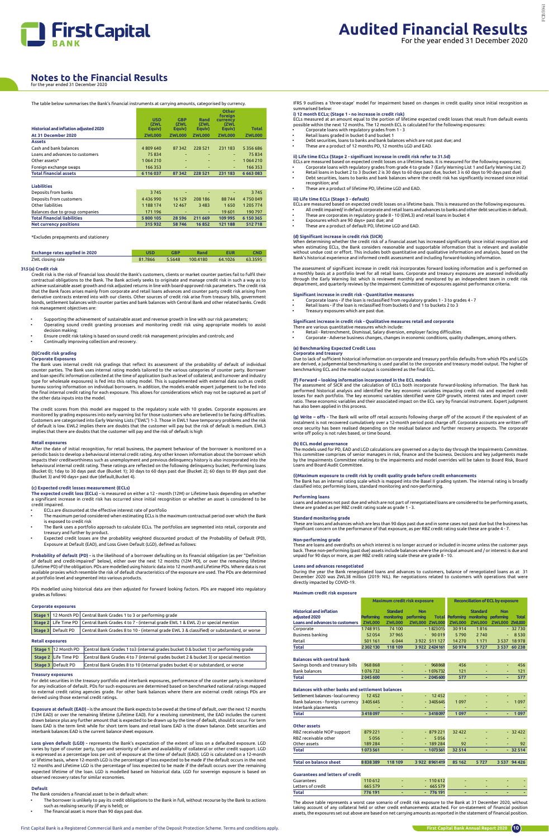

#### The table below summarises the Bank's financial instruments at carrying amounts, categorised by currency.

|                                               |                    |                    |               | Other<br>foreian |               |
|-----------------------------------------------|--------------------|--------------------|---------------|------------------|---------------|
|                                               | <b>USD</b><br>(ZWL | <b>GBP</b><br>(ZWL | Rand<br>(ZWL  | currency<br>(ZWL |               |
| <b>Historical and inflation adjusted 2020</b> | Equiv)             | Equiv)             | Equiv)        | Equiv)           | Total         |
| At 31 December 2020                           | <b>ZWL000</b>      | <b>ZWL000</b>      | <b>ZWL000</b> | <b>ZWL000</b>    | <b>ZWL000</b> |
| <b>Assets</b>                                 |                    |                    |               |                  |               |
| Cash and bank balances                        | 4809640            | 87 342             | 228 521       | 231 183          | 5 3 5 6 6 8 6 |
| Loans and advances to customers               | 75834              |                    |               | ۰.               | 75834         |
| Other assets*                                 | 1064210            | ۰                  |               | ÷                | 1064210       |
| Foreign exchange swaps                        | 166 353            | ۰                  |               | ۰                | 166 353       |
| <b>Total financial assets</b>                 | 6 116 037          | 87 342             | 228 521       | 231 183          | 6 663 083     |
|                                               |                    |                    |               |                  |               |
| <b>Liabilities</b>                            |                    |                    |               |                  |               |
| Deposits from banks                           | 3745               |                    |               |                  | 3745          |
| Deposits from customers                       | 4436990            | 16 129             | 208 186       | 88744            | 4750049       |
| Other liabilities                             | 1 188 174          | 12 4 6 7           | 3 4 8 3       | 1650             | 1 205 774     |

| Balances due to group companies    | 171 196   | <b>Service Contracts</b> | <b>COLUM</b>   | 19 601  | 190 797           |
|------------------------------------|-----------|--------------------------|----------------|---------|-------------------|
| <b>Total financial liabilities</b> | 5 800 105 |                          | 28 596 211 669 |         | 109 995 6 150 365 |
| <b>Net currency positions</b>      | 315932    | 58746                    | 16852          | 121 188 | 512718            |
|                                    |           |                          |                |         |                   |

#### \*Excludes prepayments and stationery

| Exchange rates applied in 2020 |         | GBP | Rand            | EUR     |         |
|--------------------------------|---------|-----|-----------------|---------|---------|
| ZWL closing rate               | 81.7866 |     | 5.5648 100.4180 | 64.1026 | 63.3595 |

#### **31.5 (a) Credit risk**

Credit risk is the risk of financial loss should the Bank's customers, clients or market counter parties fail to fulfil their contractual obligations to the Bank. The Bank actively seeks to originate and manage credit risk in such a way as to achieve sustainable asset growth and risk adjusted returns in line with board-approved risk parameters. The credit risk that the Bank faces arises mainly from corporate and retail loans advances and counter party credit risk arising from derivative contracts entered into with our clients. Other sources of credit risk arise from treasury bills, government bonds, settlement balances with counter parties and bank balances with Central Bank and other related banks. Credit risk management objectives are:

- Supporting the achievement of sustainable asset and revenue growth in line with our risk parameters; • Operating sound credit granting processes and monitoring credit risk using appropriate models to assist decision making;
- Ensure credit risk taking is based on sound credit risk management principles and controls; and
- Continually improving collection and recovery.

#### **(b)Credit risk grading**

**Corporate Exposures**

The Bank uses internal credit risk gradings that reflect its assessment of the probability of default of individual counter parties. The Bank uses internal rating models tailored to the various categories of counter party. Borrower and loan specific information collected at the time of application (such as level of collateral; and turnover and industry<br>type for wholesale exposures) is fed into this rating model. This is supplemented with external dat bureau scoring information on individual borrowers. In addition, the models enable expert judgement to be fed into the final internal credit rating for each exposure. This allows for considerations which may not be captured as part of the other data inputs into the model.

For debt securities in the treasury portfolio and interbank exposures, performance of the counter party is monitorec for any indication of default. PDs for such exposures are determined based on benchmarked national ratings mapped to external credit rating agencies grade. For other bank balances where there are external credit ratings PDs are derived using those external credit ratings.

The credit scores from this model are mapped to the regulatory scale with 10 grades. Corporate exposures are monitored by grading exposures into early warning list for those customers who are believed to be facing difficulties. Customers are categorised into Early Warning Lists ("EWL") 1-3. Those in EWL1 have temporary problems and the risk of default is low. EWL2 implies there are doubts that the customer will pay but the risk of default is medium. EWL3 implies that there are doubts that the customer will pay and the risk of default is high

#### **Retail exposures**

After the date of initial recognition, for retail business, the payment behaviour of the borrower is monitored on a periodic basis to develop a behavioural internal credit rating. Any other known information about the borrower which impacts their creditworthiness such as unemployment and previous delinquency history is also incorporated into the<br>behavioural internal credit rating. These ratings are reflected on the following delinquency bucket; Perfor (Bucket 0); 1day to 30 days past due (Bucket 1); 30 days to 60 days past due (Bucket 2); 60 days to 89 days past due (Bucket 3) and 90 days+ past due (default,Bucket 4).

- The borrower is unlikely to pay its credit obligations to the Bank in full, without recourse by the Bank to actions such as realising security (if any is held); or
- The financial asset is more than 90 days past due
- Corporate loans with regulatory grades from 1 3 Retail loans graded in bucket 0 and bucket 1
- Debt securities, loans to banks and bank balances which are not past due; and
- These are a product of 12 months PD, 12 months LGD and EAD.

#### **(c) Expected credit losses measurement (ECLs)**

**The expected credit loss (ECLs) -** is measured on either a 12 - month (12M) or Lifetime basis depending on whether a significant increase in credit risk has occurred since initial recognition or whether an asset is considered to be credit impaired.

- 
- Corporate loans with regulatory grades from grade 4 to grade 7 (Early Warning List 1 and Early Warning List 2)<br>• Retail loans in bucket 2 to 3 (bucket 2 is 30 days to 60 days past due, bucket 3 is 60 days
- recognition; and These are a product of lifetime PD, lifetime LGD and EAD.
- 

- ECLs are measured based on expected credit losses on a lifetime basis. This is measured on the following exposures.
- All credit impaired/ in default corporate and retail loans and advances to banks and other debt securities in default. These are corporates in regulatory grade 8 10 (EWL3) and retail loans in bucket 4
- Exposures which are 90 days+ past due; and
- These are a product of default PD, lifetime LGD and EAD.

- ECLs are discounted at the effective interest rate of portfolio
- The maximum period considered when estimating ECLs is the maximum contractual period over which the Bank is exposed to credit risk
- The Bank uses a portfolio approach to calculate ECLs. The portfolios are segmented into retail, corporate and treasury and further by product.
- Expected credit losses are the probability weighted discounted product of the Probability of Default (PD), Exposure at Default (EAD), and Loss Given Default (LGD), defined as follows:

**(d) Significant increase in credit risk (SICR)**<br>When determining whether the credit risk of a financial asset has increased significantly since initial recognition and when estimating ECLs, the Bank considers reasonable and supportable information that is relevant and available<br>without undue cost or effort. This includes both quantitative and qualitative information and analysis, based o Bank's historical experience and informed credit assessment and including forward-looking information.

**Probability of default (PD) -** is the likelihood of a borrower defaulting on its financial obligation (as per "Definition of default and credit-impaired" below), either over the next 12 months (12M PD), or over the remaining lifetime (Lifetime PD) of the obligation. PDs are modelled using historic data into 12 month and Lifetime PDs. Where data is not available proxies which resemble the risk of default characteristics of the exposure are used. The PDs are determined at portfolio level and segmented into various products.

PDs modelled using historical data are then adjusted for forward looking factors. PDs are mapped into regulatory grades as follows:

#### **Corporate exposures**

|  | Stage 1 12 Month PD Central Bank Grades 1 to 3 or performing grade                                                |
|--|-------------------------------------------------------------------------------------------------------------------|
|  | Stage 2 Life Time PD   Central Bank Grades 4 to 7 - (internal grade EWL 1 & EWL 2) or special mention             |
|  | Stage 3   Default PD   Central Bank Grades 8 to 10 - (internal grade EWL 3 & classified) or substandard, or worse |

#### **Retail exposures**

|  | Stage 1 12 Month PD Central Bank Grades 1 to 3 (internal grades bucket 0 & bucket 1) or performing grade |
|--|----------------------------------------------------------------------------------------------------------|
|  | Stage 2 Life Time PD Central Bank Grades 4 to 7 (internal grades bucket 2 & bucket 3) or special mention |
|  | المنادية المتحدث والمنادي والمتحدث والمتحدث والمتحدث والمستحدث والمستحدث والمستحدث                       |

#### **Treasury exposures**

The models used for PD, EAD and LGD calculations are governed on a day to day through the Impairments Committee.<br>This committee comprises of senior managers in risk, finance and the business. Decisions and key judgements m by the Impairments Committee relating to the impairments and model overrides will be taken to Board Risk, Board Loans and Board Audit Committee.

**Exposure at default (EAD) -** is the amount the Bank expects to be owed at the time of default, over the next 12 months (12M EAD) or over the remaining lifetime (Lifetime EAD). For a revolving commitment, the EAD includes the current drawn balance plus any further amount that is expected to be drawn up by the time of default, should it occur. For term loans EAD is the term limit while for short term loans and retail loans EAD is the drawn balance. Debt securities and interbank balances EAD is the current balance sheet exposure.

**Loss given default (LGD) -** represents the Bank's expectation of the extent of loss on a defaulted exposure. LGD varies by type of counter party, type and seniority of claim and availability of collateral or other credit support. LGD is expressed as a percentage loss per unit of exposure at the time of default (EAD). LGD is calculated on a 12-month or lifetime basis, where 12-month LGD is the percentage of loss expected to be made if the default occurs in the next 12 months and Lifetime LGD is the percentage of loss expected to be made if the default occurs over the remaining expected lifetime of the loan. LGD is modelled based on historical data. LGD for sovereign exposure is based on observed recovery rates for similar economies.

#### **Default**

The Bank considers a financial asset to be in default when:

IFRS 9 outlines a 'three-stage' model for impairment based on changes in credit quality since initial recognition as summarised below:

**i) 12 month ECLs; (Stage 1 - no increase in credit risk)** ECLs measured at an amount equal to the portion of lifetime expected credit losses that result from default events possible within the next 12 months. The 12 month ECL is calculated for the following exposures:

### **ii) Life time ECLs (Stage 2 - significant increase in credit risk refer to 31.5d)** ECLs are measured based on expected credit losses on a lifetime basis. It is measured for the following exposures;

#### **iii) Life time ECLs (Stage 3 - default)**

The assessment of significant increase in credit risk incorporates forward looking information and is performed on a monthly basis at a portfolio level for all retail loans. Corporate and treasury exposures are assessed individually<br>through the Early Warning list which is reviewed monthly and monitored by an independent team in credit department, and quarterly reviews by the Impairment Committee of exposures against performance criteria.

#### **Significant increase in credit risk - Quantitative measures**

- Corporate loans if the loan is reclassified from regulatory grades 1 3 to grades 4 7 Retail loans if the loan is reclassified from buckets 0 and 1 to buckets 2 to 3
- Treasury exposures which are past due.
- 

#### **Significant increase in credit risk - Qualitative measures retail and corporate**

- There are various quantitative measures which include: Retail Retrenchment, Dismissal, Salary diversion, employer facing difficulties
- Corporate Adverse business changes, changes in economic conditions, quality challenges, among others.
- 

### **(e) Benchmarking Expected Credit Loss**

**Corporate and treasury** Due to lack of sufficient historical information on corporate and treasury portfolio defaults from which PDs and LGDs are derived, a judgemental benchmarking is used parallel to the corporate and treasury model output. The higher of benchmarking ECL and the model output is considered as the final ECL.

#### **(f) Forward – looking information incorporated in the ECL models**

The assessment of SICR and the calculation of ECLs both incorporate forward-looking information. The Bank has performed historical analysis and identified the key economic variables impacting credit risk and expected credit losses for each portfolio. The key economic variables identified were GDP growth, interest rates and import cover<br>ratio. These economic variables and their associated impact on the ECL vary by financial instrument. Expert has also been applied in this process.

**(g) Write – offs -** The Bank will write off retail accounts following charge off of the account if the equivalent of an instalment is not recovered cumulatively over a 12-month period post charge off. Corporate accounts are written off<br>once security has been realised depending on the residual balance and further recovery prospects. The corp write off policy is not rules based, or time bound.

#### **(h) ECL model governance**

**(i)Maximum exposure to credit risk by credit quality grade before credit enhancements** The Bank has an internal rating scale which is mapped into the Basel II grading system. The internal rating is broadly classified into; performing loans, standard monitoring and non-performing.

#### **Performing loans**

Loans and advances not past due and which are not part of renegotiated loans are considered to be performing assets,<br>these are graded as per RBZ credit rating scale as grade 1 - 3.

#### **Standard monitoring grade**

These are loans and advances which are less than 90 days past due and in some cases not past due but the business has significant concern on the performance of that exposure, as per RBZ credit rating scale these are grade 4 - 7.

**Non-performing grade** These are loans and overdrafts on which interest is no longer accrued or included in income unless the customer pays back. These non-performing (past due) assets include balances where the principal amount and / or interest is due and unpaid for 90 days or more, as per RBZ credit rating scale these are grade 8 - 10.

#### **Loans and advances renegotiated**

During the year the Bank renegotiated loans and advances to customers, balance of renegotiated loans as at 31 December 2020 was ZWL38 million (2019: NIL). Re- negotiations related to customers with operations that were directly impacted by COVID-19.

#### **Maximum credit risk exposure**

|                                                  | Maximum credit risk exposure |                               |                                 |                |               | <b>Reconciliation of ECL by exposure</b>                  |                      |              |
|--------------------------------------------------|------------------------------|-------------------------------|---------------------------------|----------------|---------------|-----------------------------------------------------------|----------------------|--------------|
| <b>Historical and inflation</b><br>adjusted 2020 | <b>Performing</b>            | <b>Standard</b><br>monitoring | <b>Non</b><br><b>performing</b> |                |               | <b>Standard</b><br>Total Performing monitoring performing | <b>Non</b>           | <b>Total</b> |
| Loans and advances to customers                  | <b>ZWL000</b>                | <b>ZWL000</b>                 | <b>ZWL000 ZWL000</b>            |                | <b>ZWL000</b> | <b>ZWL000</b>                                             | <b>ZWL000 ZWL000</b> |              |
| Corporate                                        | 1748915                      | 74 100                        |                                 | $-1823015$     | 30 914        | 1816                                                      |                      | $-32730$     |
| Business banking                                 | 52054                        | 37965                         |                                 | $-90019$       | 5790          | 2 7 4 0                                                   | $\sim$               | 8530         |
| Retail                                           | 501 161                      | 6044                          |                                 | 3 922 511 127  | 14 2 70       | 1 1 7 1                                                   | 3 5 3 7              | 18978        |
| <b>Total</b>                                     | 2 302 130                    | 118 109                       |                                 | 3 922 2424 161 | 50 974        | 5727                                                      | 3537                 | 60 238       |

#### **Balances with central bank**

#### **Stage 3** Default PD | Central Bank Grades 8 to 10 (internal grades bucket 4) or substandard, or worse

| Savings bonds and treasury bills | 968868  | 968868     | 456 |  |  |
|----------------------------------|---------|------------|-----|--|--|
| Bank balances                    | 1076732 | $-1076732$ | 121 |  |  |
| Total                            | 2045600 | $-2045600$ | 577 |  |  |

#### **Balances with other banks and settlement balances**

| Settlement balances - local currency 12452 |         | - | $-12452$   |         |          | $\overline{\phantom{a}}$ |  |
|--------------------------------------------|---------|---|------------|---------|----------|--------------------------|--|
| Bank balances - foreign currency 3405645   |         |   | $-3405645$ | 1.097   | <b>.</b> | $-1097$                  |  |
| Interbank placements                       | -       |   | -          |         |          |                          |  |
| <b>Total</b>                               | 3418097 |   | $-3418097$ | 1 0 9 7 |          | 1 097<br>-               |  |

#### **Other assets** RBZ receivable NOP support 879 221 - 879 221 32 422 - 879 221 32 422 RBZ receivable other 5 056 - - - - - - 5 056 Other assets 189 284 189 284 189 284 189 284 189 284 189 284 189 284 189 284 189 284 189 284 189 284 189 284 189 28 **Total 1 073 561 - - 1 073 561 32 514 - - 32 514 Total on balance sheet 8 838 389 118 109 3 922 8 961 419 85 162 5 727 3 537 94 426**

#### **Guarantees and letters of credit**

| Guarantees        | 110 612 |        | $-110612$    | $\sim$ |   |  |
|-------------------|---------|--------|--------------|--------|---|--|
| Letters of credit | 665 579 | $\sim$ | 665 579<br>- | $\sim$ |   |  |
| <b>Total</b>      | 776 191 | -      | 776 191      |        | - |  |

The above table represents a worst case scenario of credit risk exposure to the Bank at 31 December 2020, without taking account of any collateral held or other credit enhancements attached. For on-statement of financial position assets, the exposures set out above are based on net carrying amounts as reported in the statement of financial position.

## **Notes to the Financial Results** for the year ended 31 December 2020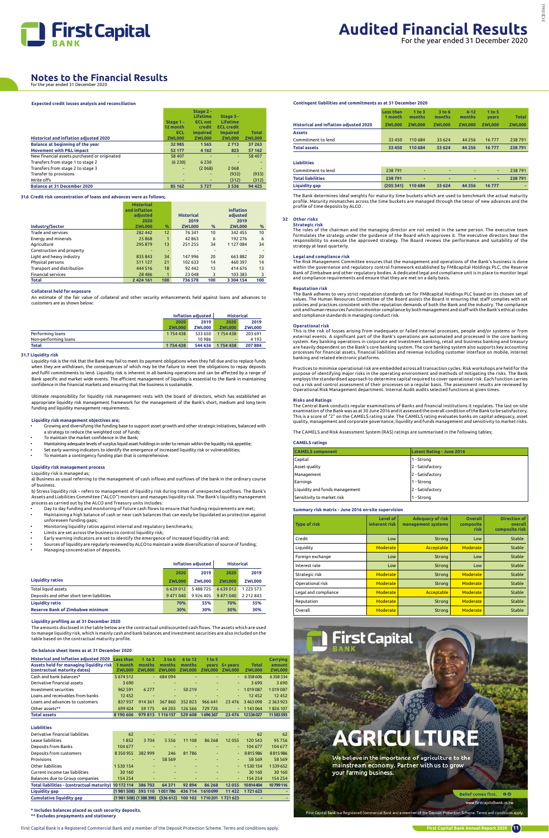First Capital Bank is a Registered Commercial Bank and a member of the Deposit Protection Scheme. Terms and conditions apply.



#### **Expected credit losses analysis and reconciliation**

|                                               |               | Stage 2 -       |                   |               |
|-----------------------------------------------|---------------|-----------------|-------------------|---------------|
|                                               |               | <b>Lifetime</b> | Stage 3 -         |               |
|                                               | Stage 1 -     | <b>ECL not</b>  | <b>Lifetime</b>   |               |
|                                               | 12 month      | credit          | <b>ECL credit</b> |               |
|                                               | <b>ECL</b>    | <i>impaired</i> | <i>impaired</i>   | <b>Total</b>  |
| <b>Historical and inflation adjusted 2020</b> | <b>ZWL000</b> | <b>ZWL000</b>   | <b>ZWL000</b>     | <b>ZWL000</b> |
| Balance at beginning of the year              | 32 985        | 1565            | 2713              | 37 263        |
| <b>Movement with P&amp;L impact</b>           | 52 177        | 4 1 6 2         | 823               | 57 162        |
| New financial assets purchased or originated  | 58 407        | -               | ۰                 | 58 407        |
| Transfers from stage 1 to stage 2             | (6230)        | 6 2 3 0         |                   |               |
| Transfers from stage 2 to stage 3             |               | (2068)          | 2068              |               |
| Transfer to provisions                        | ٠             | ۰               | (933)             | (933)         |
| Write offs                                    |               | ٠               | (312)             | (312)         |
| <b>Balance at 31 December 2020</b>            | 85 162        | 5727            | 3 5 3 6           | 94 425        |

#### **31.6 Credit risk concentration of loans and advances were as follows;**

|                            | <b>Historical</b> |     |                   |                          | <b>Inflation</b> |     |
|----------------------------|-------------------|-----|-------------------|--------------------------|------------------|-----|
|                            | and inflation     |     |                   |                          |                  |     |
|                            | adiusted          |     | <b>Historical</b> |                          | adjusted         |     |
|                            | 2020              |     | 2019              |                          | 2019             |     |
| Industry/Sector            | <b>ZWL000</b>     | %   | <b>ZWL000</b>     | %                        | <b>ZWL000</b>    | %   |
| Trade and services         | 282 442           | 12  | 76 341            | 10                       | 342 455          | 10  |
| Energy and minerals        | 25868             | 1   | 42 863            | 6                        | 192 276          | 6   |
| Agriculture                | 295 879           | 13  | 251 255           | 34                       | 1 127 084        | 34  |
| Construction and property  |                   |     |                   | $\overline{\phantom{0}}$ |                  |     |
| Light and heavy industry   | 835843            | 34  | 147 996           | 20                       | 663882           | 20  |
| Physical persons           | 511 127           | 21  | 102 633           | 14                       | 460 397          | 14  |
| Transport and distribution | 444 516           | 18  | 92 442            | 13                       | 414 676          | 13  |
| <b>Financial services</b>  | 28 4 8 6          | 1   | 23 048            | 3                        | 103 383          | 3   |
| Total                      | 2 4 2 4 1 6 1     | 100 | 736 578           | 100                      | 3 3 0 4 1 5 4    | 100 |

- Growing and diversifying the funding base to support asset growth and other strategic initiatives, balanced with a strategy to reduce the weighted cost of funds;
- To maintain the market confidence in the Bank;
- Maintaining adequate levels of surplus liquid asset holdings in order to remain within the liquidity risk appetite;
- Set early warning indicators to identify the emergence of increased liquidity risk or vulnerabilities;
- To maintain a contingency funding plan that is comprehensive.

#### **Collateral held for exposure**

An estimate of the fair value of collateral and other security enhancements held against loans and advances to customers are as shown below:

|                      |                    | Inflation adjusted | <b>Historical</b>        |               |
|----------------------|--------------------|--------------------|--------------------------|---------------|
|                      | 2020               | 2019               | 2020                     | 2019          |
|                      | <b>ZWL000</b>      | <b>ZWL000</b>      | <b>ZWL000</b>            | <b>ZWL000</b> |
| Performing loans     | 1754438            | 533 650            | 1754438                  | 203 691       |
| Non-performing loans | -                  | 10986              | $\overline{\phantom{a}}$ | 4 1 9 3       |
| Total                | 1754438<br>544 636 |                    | 1754438                  | 207884        |

#### **31.7 Liquidity risk**

Liquidity risk is the risk that the Bank may fail to meet its payment obligations when they fall due and to replace funds when they are withdrawn, the consequences of which may be the failure to meet the obligations to repay deposits and fulfil commitments to lend. Liquidity risk is inherent in all banking operations and can be affected by a range of Bank specific and market wide events. The efficient management of liquidity is essential to the Bank in maintaining confidence in the financial markets and ensuring that the business is sustainable.

Ultimate responsibility for liquidity risk management rests with the board of directors, which has established an appropriate liquidity risk management framework for the management of the Bank's short, medium and long term funding and liquidity management requirements.

#### **Liquidity risk management objectives are;**

#### **Liquidity risk management process**

Liquidity risk is managed as;

a) Business as usual referring to the management of cash inflows and outflows of the bank in the ordinary course of business.

b) Stress liquidity risk – refers to management of liquidity risk during times of unexpected outflows. The Bank's Assets and Liabilities Committee ("ALCO") monitors and manages liquidity risk. The Bank's liquidity management process as carried out by the ALCO and Treasury units includes:

Strategic risk<br>The roles of the chairman and the managing director are not vested in the same person. The executive team<br>formulates the strategy under the guidance of the Board which approves it. The executive directors be responsibility to execute the approved strategy. The Board reviews the performance and suitability of the strategy at least quarterly.

- Day to day funding and monitoring of future cash flows to ensure that funding requirements are met; • Maintaining a high balance of cash or near cash balances that can easily be liquidated as protection against
- unforeseen funding gaps; • Monitoring liquidity ratios against internal and regulatory benchmarks;
- Limits are set across the business to control liquidity risk;
- Early warning indicators are set to identify the emergence of increased liquidity risk and;
- Sources of liquidity are regularly reviewed by ALCO to maintain a wide diversification of source of funding;
- Managing concentration of deposits.

|                                           |               | <b>Inflation adiusted</b> | <b>Historical</b> |               |
|-------------------------------------------|---------------|---------------------------|-------------------|---------------|
|                                           | 2020          | 2019                      | 2020              | 2019          |
| <b>Liquidity ratios</b>                   | <b>ZWL000</b> | <b>ZWL000</b>             | <b>ZWL000</b>     | <b>ZWL000</b> |
| <b>Total liquid assets</b>                | 6639012       | 5488725                   | 6639012           | 1 2 2 3 5 7 3 |
| Deposits and other short term liabilities | 9471040       | 9926405                   | 9471040           | 2 2 1 2 8 4 3 |
| <b>Liquidity ratio</b>                    | 70%           | 55%                       | 70%               | 55%           |
| <b>Reserve Bank of Zimbabwe minimum</b>   | 30%           | 30%                       | 30%               | 30%           |

#### **Liquidity profiling as at 31 December 2020**

This is the risk of losses arising from inadequate or failed internal processes, people and/or systems or from<br>external events. A significant part of the Bank's operations are automated and processed in the core banking<br>sy are heavily dependent on the Bank's core banking system. The core banking system also supports key accounting<br>processes for financial assets, financial liabilities and revenue including customer interface on mobile, intern banking and related electronic platforms.

The amounts disclosed in the table below are the contractual undiscounted cash flows. The assets which are used to manage liquidity risk, which is mainly cash and bank balances and investment securities are also included on the table based on the contractual maturity profile.

#### **On balance sheet items as at 31 December 2020**

| Historical and inflation adjusted 2020 Less than 1 to 3 3 to 6 6 to 12 1 to 5 |  |  |  | <b>Carrying</b> |
|-------------------------------------------------------------------------------|--|--|--|-----------------|
|                                                                               |  |  |  |                 |

| Assets held for managing liquidity risk | 1 month       | months                   | months                   | months  |         | vears 5+ years | <b>Total</b>  | amount        |
|-----------------------------------------|---------------|--------------------------|--------------------------|---------|---------|----------------|---------------|---------------|
| (contractual maturity dates)            | <b>ZWL000</b> | <b>ZWL000</b>            | ZWL000                   | ZWL000  | ZWL000  | ZWL000         | <b>ZWL000</b> | <b>ZWL000</b> |
| Cash and bank balances*                 | 5 6 7 4 5 1 2 |                          | $-684094$                |         |         | $\sim 10^{-1}$ | 6358606       | 6358334       |
| Derivative financial assets             | 3690          | $\sim$                   |                          |         | н.      | $\sim$         | 3690          | 3690          |
| Investment securities                   | 962 591       | 6 2 7 7                  | $\overline{\phantom{a}}$ | 50 219  | $\sim$  |                | $-1019087$    | 1019087       |
| Loans and receivables from banks        | 12 4 5 2      | $\overline{\phantom{a}}$ |                          |         |         | $\sim$         | 12 4 5 2      | 12 4 5 2      |
| Loans and advances to customers         | 837937        | 914 361                  | 367860                   | 352823  | 966 641 | 23 4 7 6       | 3463098       | 2 3 6 3 9 2 3 |
| Other assets**                          | 699 424       | 59 175                   | 64 203                   | 126 566 | 729 726 |                | $-1143064$    | 1826 107      |
| <b>Total assets</b>                     | 8 190 606     | 979 813                  | 1116157                  | 529 608 | 1696367 | 23 4 7 6       | 12536027      | 11583593      |

#### **Liabilities**

| Derivative financial liabilities                    | 62                                 | -       |         |         |                           | -                        | 62         | 62       |
|-----------------------------------------------------|------------------------------------|---------|---------|---------|---------------------------|--------------------------|------------|----------|
| Lease liabilities                                   | 1852                               | 3704    | 5 5 5 6 | 11 108  | 86 268                    | 12055                    | 120 543    | 95756    |
| Deposits from Banks                                 | 104 677                            |         |         |         |                           | ٠                        | 104 677    | 104 677  |
| Deposits from customers                             | 8350955                            | 382 999 | 246     | 81786   | $\overline{\phantom{0}}$  | ÷.                       | 8815986    | 8815986  |
| Provisions                                          |                                    | ٠.      | 58 5 69 | -       |                           | $\overline{\phantom{0}}$ | 58 5 69    | 58 5 69  |
| Other liabilities                                   | 1 530 154                          | ٠       |         | ۰       | ۰.                        |                          | $-1530154$ | 1539652  |
| Current income tax liabilities                      | 30 160                             | ۰       |         |         | -                         | ۰.                       | 30 160     | 30 160   |
| Balances due to Group companies                     | 154 254                            |         |         |         |                           | ۰.                       | 154 254    | 154 254  |
| Total liabilities - (contractual maturity) 10172114 |                                    | 386 703 | 64 371  | 92 894  | 86 268                    | 12 0 55                  | 10814404   | 10799116 |
| <b>Liquidity gap</b>                                | (1981 508) 593 110                 |         | 1051786 | 436 714 | 1610099                   | 11 4 22                  | 1721623    | ۰        |
| <b>Cumulative liquidity gap</b>                     | $(1981508)$ $(1388398)$ $(336612)$ |         |         |         | 100 102 1710 201 1721 623 |                          | ۰          |          |

**\* Includes balances placed as cash security deposits. \*\* Excludes prepayments and stationery**

**AGRICULTURE** 

We believe in the importance of agriculture to the mainstream economy. Partner with us to grow your farming business.

> **Belief comes first.**  $0<sup>o</sup>$

ww.firstcapitalbank.co.zw

First Capital Bank is a Registered Commercial Bank and a member of the Deposit Protection Scheme. Terms and conditions app

#### **Contingent liabilities and commitments as at 31 December 2020**

|                                        | Less than<br>1 month | 1 to $3$<br>months | 3 to 6<br>months | $6 - 12$<br>months | 1 to $5$<br><b>vears</b> | <b>Total</b>  |
|----------------------------------------|----------------------|--------------------|------------------|--------------------|--------------------------|---------------|
| Historical and inflation adjusted 2020 | <b>ZWL000</b>        | <b>ZWL000</b>      | ZWL000           | <b>ZWL000</b>      | <b>ZWL000</b>            | <b>ZWL000</b> |
| <b>Assets</b>                          |                      |                    |                  |                    |                          |               |
| Commitment to lend                     | 33 450               | 110 684            | 33 624           | 44 2 5 6           | 16 7 7 7                 | 238 791       |
| <b>Total assets</b>                    | 33 450               | 110 684            | 33 624           | 44 25 6            | 16777                    | 238791        |

| <b>Liquidity gap</b>     | (205341) | 110 684                  | 33 624                   | 44 2 5 6   | 16 7 7 7                 | $\overline{\phantom{a}}$ |
|--------------------------|----------|--------------------------|--------------------------|------------|--------------------------|--------------------------|
| <b>Total liabilities</b> | 238 791  | $\overline{\phantom{a}}$ | -                        | ۰          | -                        | 238 791                  |
| Commitment to lend       | 238791   | $\overline{\phantom{a}}$ | $\overline{\phantom{a}}$ | <b>COL</b> | $\overline{\phantom{a}}$ | 238 791                  |
| Liabilities              |          |                          |                          |            |                          |                          |

The Bank determines ideal weights for maturity time buckets which are used to benchmark the actual maturity profile. Maturity mismatches across the time buckets are managed through the tenor of new advances and the profile of time deposits by ALCO .

#### **32 Other risks**

#### **Legal and compliance risk**

The Risk Management Committee ensures that the management and operations of the Bank's business is done within the governance and regulatory control framework established by FMBcapital Holdings PLC, the Reserve Bank of Zimbabwe and other regulatory bodies. A dedicated legal and compliance unit is in place to monitor legal and compliance requirements and ensure that they are met on a daily basis.

#### **Reputation risk**

The Bank adheres to very strict reputation standards set for FMBcapital Holdings PLC based on its chosen set of values. The Human Resources Committee of the Board assists the Board in ensuring that staff complies with set policies and practices consistent with the reputation demands of both the Bank and the industry. The compliance unit and human resources function monitor compliance by both management and staff with the Bank's ethical codes and compliance standards in managing conduct risk.

#### **Operational risk**

Practices to minimise operational risk are embedded across all transaction cycles. Risk workshops are held for the purpose of identifying major risks in the operating environment and methods of mitigating the risks. The Bank employs the standardised approach to determine capital required to cover operational risk. Each function carries out a risk and control assessment of their processes on a regular basis. The assessment results are reviewed by Operational Risk Management department. Internal Audit audits selected functions at given times.

#### **Risks and Ratings**

The Central Bank conducts regular examinations of Banks and financial institutions it regulates. The last on-site examination of the Bank was as at 30 June 2016 and it assessed the overall condition of the Bank to be satisfactory. This is a score of "2" on the CAMELS rating scale. The CAMELS rating evaluates banks on capital adequacy, asset quality, management and corporate governance, liquidity and funds management and sensitivity to market risks.

The CAMELS and Risk Assessment System (RAS) ratings are summarised in the following tables;

#### **CAMELS ratings**

| <b>CAMELS</b> component        | <b>Latest Rating - June 2016</b> |
|--------------------------------|----------------------------------|
| Capital                        | 1 - Strong                       |
| Asset quality                  | 2 - Satisfactory                 |
| Management                     | 2 - Satisfactory                 |
| Earnings                       | 1 - Strong                       |
| Liquidity and funds management | 2 - Satisfactory                 |
| Sensitivity to market risk     | 1 - Strong                       |

#### **Summary risk matrix - June 2016 on-site supervision**

| <b>Type of risk</b>  | Level of<br>inherent risk | <b>Adequacy of risk</b><br>management systems | <b>Overall</b><br>composite<br>risk | <b>Direction of</b><br>overall<br>composite risk |
|----------------------|---------------------------|-----------------------------------------------|-------------------------------------|--------------------------------------------------|
| Credit               | Low                       | Strong                                        | Low                                 | Stable                                           |
| Liquidity            | Moderate                  | Acceptable                                    | Moderate                            | Stable                                           |
| Foreign exchange     | Low                       | Strong                                        | Low                                 | Stable                                           |
| Interest rate        | Low                       | Strong                                        | Low                                 | Stable                                           |
| Strategic risk       | Moderate                  | Strong                                        | Moderate                            | Stable                                           |
| Operational risk     | Moderate                  | <b>Strong</b>                                 | Moderate                            | Stable                                           |
| Legal and compliance | Moderate                  | Acceptable                                    | Moderate                            | Stable                                           |
| Reputation           | Moderate                  | Strong                                        | Moderate                            | Stable                                           |
| Overall              | Moderate                  | <b>Strong</b>                                 | Moderate                            | Stable                                           |



## **Notes to the Financial Results** for the year ended 31 December 2020